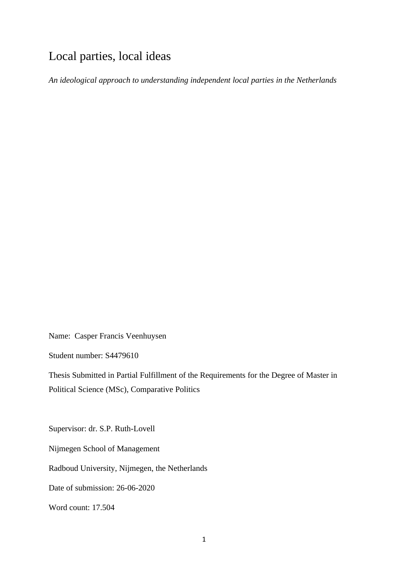# Local parties, local ideas

*An ideological approach to understanding independent local parties in the Netherlands*

Name: Casper Francis Veenhuysen

Student number: S4479610

Thesis Submitted in Partial Fulfillment of the Requirements for the Degree of Master in Political Science (MSc), Comparative Politics

Supervisor: dr. S.P. Ruth-Lovell

Nijmegen School of Management

Radboud University, Nijmegen, the Netherlands

Date of submission: 26-06-2020

Word count: 17.504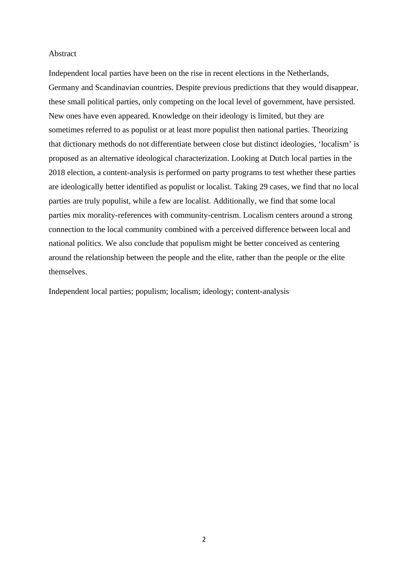#### Abstract

Independent local parties have been on the rise in recent elections in the Netherlands, Germany and Scandinavian countries. Despite previous predictions that they would disappear, these small political parties, only competing on the local level of government, have persisted. New ones have even appeared. Knowledge on their ideology is limited, but they are sometimes referred to as populist or at least more populist then national parties. Theorizing that dictionary methods do not differentiate between close but distinct ideologies, 'localism' is proposed as an alternative ideological characterization. Looking at Dutch local parties in the 2018 election, a content-analysis is performed on party programs to test whether these parties are ideologically better identified as populist or localist. Taking 29 cases, we find that no local parties are truly populist, while a few are localist. Additionally, we find that some local parties mix morality-references with community-centrism. Localism centers around a strong connection to the local community combined with a perceived difference between local and national politics. We also conclude that populism might be better conceived as centering around the relationship between the people and the elite, rather than the people or the elite themselves.

Independent local parties; populism; localism; ideology; content-analysis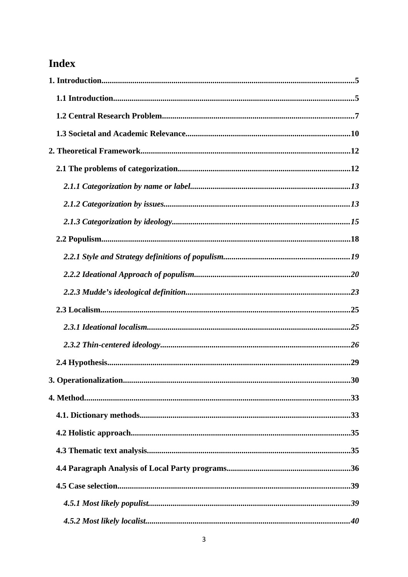# **Index**

| 30 |
|----|
|    |
|    |
|    |
|    |
|    |
|    |
|    |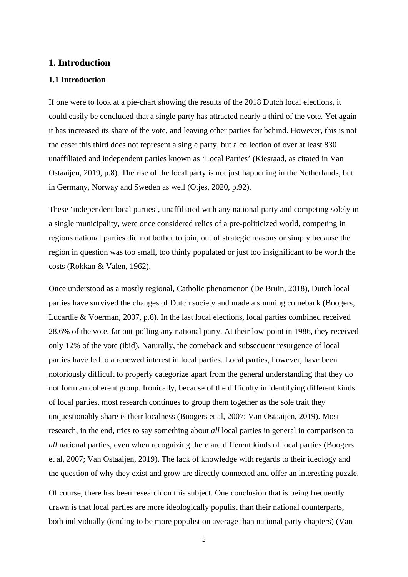## <span id="page-4-0"></span>**1. Introduction**

## <span id="page-4-1"></span>**1.1 Introduction**

If one were to look at a pie-chart showing the results of the 2018 Dutch local elections, it could easily be concluded that a single party has attracted nearly a third of the vote. Yet again it has increased its share of the vote, and leaving other parties far behind. However, this is not the case: this third does not represent a single party, but a collection of over at least 830 unaffiliated and independent parties known as 'Local Parties' (Kiesraad, as citated in Van Ostaaijen, 2019, p.8). The rise of the local party is not just happening in the Netherlands, but in Germany, Norway and Sweden as well (Otjes, 2020, p.92).

These 'independent local parties', unaffiliated with any national party and competing solely in a single municipality, were once considered relics of a pre-politicized world, competing in regions national parties did not bother to join, out of strategic reasons or simply because the region in question was too small, too thinly populated or just too insignificant to be worth the costs (Rokkan & Valen, 1962).

Once understood as a mostly regional, Catholic phenomenon (De Bruin, 2018), Dutch local parties have survived the changes of Dutch society and made a stunning comeback (Boogers, Lucardie & Voerman, 2007, p.6). In the last local elections, local parties combined received 28.6% of the vote, far out-polling any national party. At their low-point in 1986, they received only 12% of the vote (ibid). Naturally, the comeback and subsequent resurgence of local parties have led to a renewed interest in local parties. Local parties, however, have been notoriously difficult to properly categorize apart from the general understanding that they do not form an coherent group. Ironically, because of the difficulty in identifying different kinds of local parties, most research continues to group them together as the sole trait they unquestionably share is their localness (Boogers et al, 2007; Van Ostaaijen, 2019). Most research, in the end, tries to say something about *all* local parties in general in comparison to *all* national parties, even when recognizing there are different kinds of local parties (Boogers et al, 2007; Van Ostaaijen, 2019). The lack of knowledge with regards to their ideology and the question of why they exist and grow are directly connected and offer an interesting puzzle.

Of course, there has been research on this subject. One conclusion that is being frequently drawn is that local parties are more ideologically populist than their national counterparts, both individually (tending to be more populist on average than national party chapters) (Van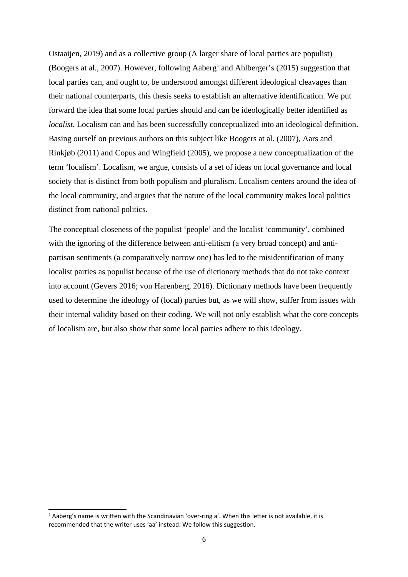Ostaaijen, 2019) and as a collective group (A larger share of local parties are populist) (Boogers at al., 2007). However, following Aaberg<sup>[1](#page-5-0)</sup> and Ahlberger's (2015) suggestion that local parties can, and ought to, be understood amongst different ideological cleavages than their national counterparts, this thesis seeks to establish an alternative identification. We put forward the idea that some local parties should and can be ideologically better identified as *localist.* Localism can and has been successfully conceptualized into an ideological definition. Basing ourself on previous authors on this subject like Boogers at al. (2007), Aars and Rinkjøb (2011) and Copus and Wingfield (2005), we propose a new conceptualization of the term 'localism'. Localism, we argue, consists of a set of ideas on local governance and local society that is distinct from both populism and pluralism. Localism centers around the idea of the local community, and argues that the nature of the local community makes local politics distinct from national politics.

The conceptual closeness of the populist 'people' and the localist 'community', combined with the ignoring of the difference between anti-elitism (a very broad concept) and antipartisan sentiments (a comparatively narrow one) has led to the misidentification of many localist parties as populist because of the use of dictionary methods that do not take context into account (Gevers 2016; von Harenberg, 2016). Dictionary methods have been frequently used to determine the ideology of (local) parties but, as we will show, suffer from issues with their internal validity based on their coding. We will not only establish what the core concepts of localism are, but also show that some local parties adhere to this ideology.

<span id="page-5-0"></span> $<sup>1</sup>$  Aaberg's name is written with the Scandinavian 'over-ring a'. When this letter is not available, it is</sup> recommended that the writer uses 'aa' instead. We follow this suggestion.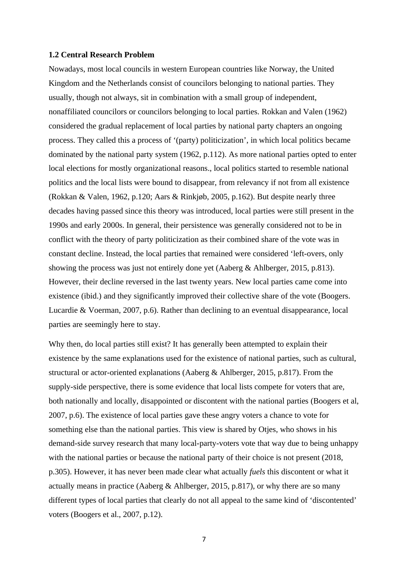#### <span id="page-6-0"></span>**1.2 Central Research Problem**

Nowadays, most local councils in western European countries like Norway, the United Kingdom and the Netherlands consist of councilors belonging to national parties. They usually, though not always, sit in combination with a small group of independent, nonaffiliated councilors or councilors belonging to local parties. Rokkan and Valen (1962) considered the gradual replacement of local parties by national party chapters an ongoing process. They called this a process of '(party) politicization', in which local politics became dominated by the national party system (1962, p.112). As more national parties opted to enter local elections for mostly organizational reasons., local politics started to resemble national politics and the local lists were bound to disappear, from relevancy if not from all existence (Rokkan & Valen, 1962, p.120; Aars & Rinkjøb, 2005, p.162). But despite nearly three decades having passed since this theory was introduced, local parties were still present in the 1990s and early 2000s. In general, their persistence was generally considered not to be in conflict with the theory of party politicization as their combined share of the vote was in constant decline. Instead, the local parties that remained were considered 'left-overs, only showing the process was just not entirely done yet (Aaberg & Ahlberger, 2015, p.813). However, their decline reversed in the last twenty years. New local parties came come into existence (ibid.) and they significantly improved their collective share of the vote (Boogers. Lucardie & Voerman, 2007, p.6). Rather than declining to an eventual disappearance, local parties are seemingly here to stay.

Why then, do local parties still exist? It has generally been attempted to explain their existence by the same explanations used for the existence of national parties, such as cultural, structural or actor-oriented explanations (Aaberg & Ahlberger, 2015, p.817). From the supply-side perspective, there is some evidence that local lists compete for voters that are, both nationally and locally, disappointed or discontent with the national parties (Boogers et al, 2007, p.6). The existence of local parties gave these angry voters a chance to vote for something else than the national parties. This view is shared by Otjes, who shows in his demand-side survey research that many local-party-voters vote that way due to being unhappy with the national parties or because the national party of their choice is not present (2018, p.305). However, it has never been made clear what actually *fuels* this discontent or what it actually means in practice (Aaberg & Ahlberger, 2015, p.817), or why there are so many different types of local parties that clearly do not all appeal to the same kind of 'discontented' voters (Boogers et al., 2007, p.12).

<sup>7</sup>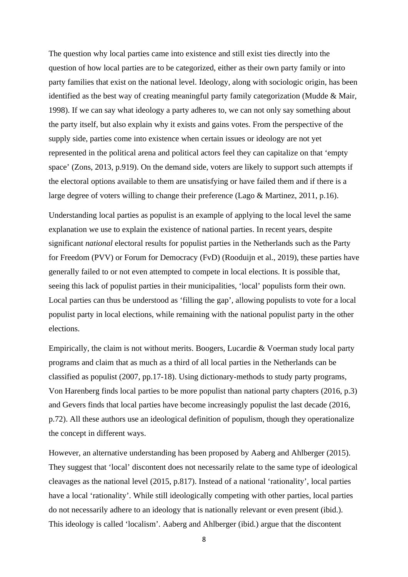The question why local parties came into existence and still exist ties directly into the question of how local parties are to be categorized, either as their own party family or into party families that exist on the national level. Ideology, along with sociologic origin, has been identified as the best way of creating meaningful party family categorization (Mudde & Mair, 1998). If we can say what ideology a party adheres to, we can not only say something about the party itself, but also explain why it exists and gains votes. From the perspective of the supply side, parties come into existence when certain issues or ideology are not yet represented in the political arena and political actors feel they can capitalize on that 'empty space' (Zons, 2013, p.919). On the demand side, voters are likely to support such attempts if the electoral options available to them are unsatisfying or have failed them and if there is a large degree of voters willing to change their preference (Lago & Martinez, 2011, p.16).

Understanding local parties as populist is an example of applying to the local level the same explanation we use to explain the existence of national parties. In recent years, despite significant *national* electoral results for populist parties in the Netherlands such as the Party for Freedom (PVV) or Forum for Democracy (FvD) (Rooduijn et al., 2019), these parties have generally failed to or not even attempted to compete in local elections. It is possible that, seeing this lack of populist parties in their municipalities, 'local' populists form their own. Local parties can thus be understood as 'filling the gap', allowing populists to vote for a local populist party in local elections, while remaining with the national populist party in the other elections.

Empirically, the claim is not without merits. Boogers, Lucardie & Voerman study local party programs and claim that as much as a third of all local parties in the Netherlands can be classified as populist (2007, pp.17-18). Using dictionary-methods to study party programs, Von Harenberg finds local parties to be more populist than national party chapters (2016, p.3) and Gevers finds that local parties have become increasingly populist the last decade (2016, p.72). All these authors use an ideological definition of populism, though they operationalize the concept in different ways.

However, an alternative understanding has been proposed by Aaberg and Ahlberger (2015). They suggest that 'local' discontent does not necessarily relate to the same type of ideological cleavages as the national level (2015, p.817). Instead of a national 'rationality', local parties have a local 'rationality'. While still ideologically competing with other parties, local parties do not necessarily adhere to an ideology that is nationally relevant or even present (ibid.). This ideology is called 'localism'. Aaberg and Ahlberger (ibid.) argue that the discontent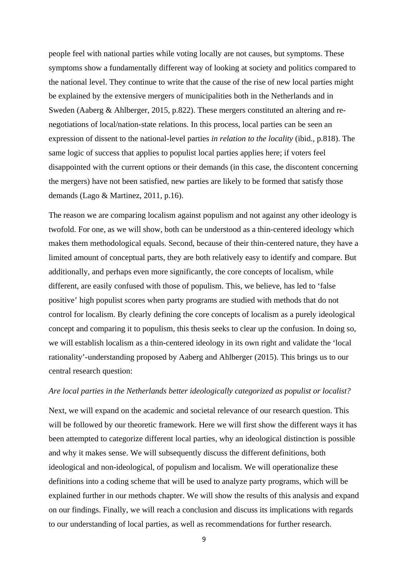people feel with national parties while voting locally are not causes, but symptoms. These symptoms show a fundamentally different way of looking at society and politics compared to the national level. They continue to write that the cause of the rise of new local parties might be explained by the extensive mergers of municipalities both in the Netherlands and in Sweden (Aaberg & Ahlberger, 2015, p.822). These mergers constituted an altering and renegotiations of local/nation-state relations. In this process, local parties can be seen an expression of dissent to the national-level parties *in relation to the locality* (ibid., p.818). The same logic of success that applies to populist local parties applies here; if voters feel disappointed with the current options or their demands (in this case, the discontent concerning the mergers) have not been satisfied, new parties are likely to be formed that satisfy those demands (Lago & Martinez, 2011, p.16).

The reason we are comparing localism against populism and not against any other ideology is twofold. For one, as we will show, both can be understood as a thin-centered ideology which makes them methodological equals. Second, because of their thin-centered nature, they have a limited amount of conceptual parts, they are both relatively easy to identify and compare. But additionally, and perhaps even more significantly, the core concepts of localism, while different, are easily confused with those of populism. This, we believe, has led to 'false positive' high populist scores when party programs are studied with methods that do not control for localism. By clearly defining the core concepts of localism as a purely ideological concept and comparing it to populism, this thesis seeks to clear up the confusion. In doing so, we will establish localism as a thin-centered ideology in its own right and validate the 'local rationality'-understanding proposed by Aaberg and Ahlberger (2015). This brings us to our central research question:

### *Are local parties in the Netherlands better ideologically categorized as populist or localist?*

Next, we will expand on the academic and societal relevance of our research question. This will be followed by our theoretic framework. Here we will first show the different ways it has been attempted to categorize different local parties, why an ideological distinction is possible and why it makes sense. We will subsequently discuss the different definitions, both ideological and non-ideological, of populism and localism. We will operationalize these definitions into a coding scheme that will be used to analyze party programs, which will be explained further in our methods chapter. We will show the results of this analysis and expand on our findings. Finally, we will reach a conclusion and discuss its implications with regards to our understanding of local parties, as well as recommendations for further research.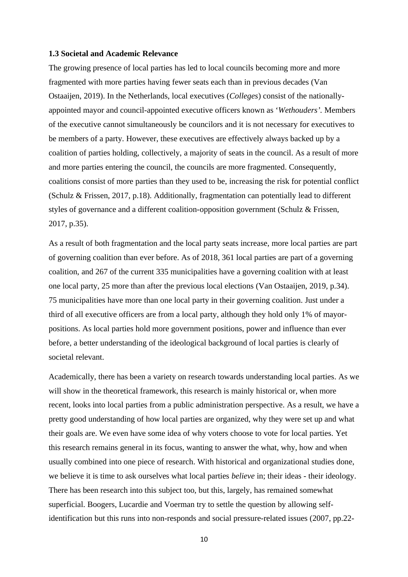#### <span id="page-9-0"></span>**1.3 Societal and Academic Relevance**

The growing presence of local parties has led to local councils becoming more and more fragmented with more parties having fewer seats each than in previous decades (Van Ostaaijen, 2019). In the Netherlands, local executives (*Colleges*) consist of the nationallyappointed mayor and council-appointed executive officers known as '*Wethouders'.* Members of the executive cannot simultaneously be councilors and it is not necessary for executives to be members of a party. However, these executives are effectively always backed up by a coalition of parties holding, collectively, a majority of seats in the council. As a result of more and more parties entering the council, the councils are more fragmented. Consequently, coalitions consist of more parties than they used to be, increasing the risk for potential conflict (Schulz & Frissen, 2017, p.18). Additionally, fragmentation can potentially lead to different styles of governance and a different coalition-opposition government (Schulz & Frissen, 2017, p.35).

As a result of both fragmentation and the local party seats increase, more local parties are part of governing coalition than ever before. As of 2018, 361 local parties are part of a governing coalition, and 267 of the current 335 municipalities have a governing coalition with at least one local party, 25 more than after the previous local elections (Van Ostaaijen, 2019, p.34). 75 municipalities have more than one local party in their governing coalition. Just under a third of all executive officers are from a local party, although they hold only 1% of mayorpositions. As local parties hold more government positions, power and influence than ever before, a better understanding of the ideological background of local parties is clearly of societal relevant.

Academically, there has been a variety on research towards understanding local parties. As we will show in the theoretical framework, this research is mainly historical or, when more recent, looks into local parties from a public administration perspective. As a result, we have a pretty good understanding of how local parties are organized, why they were set up and what their goals are. We even have some idea of why voters choose to vote for local parties. Yet this research remains general in its focus, wanting to answer the what, why, how and when usually combined into one piece of research. With historical and organizational studies done, we believe it is time to ask ourselves what local parties *believe* in; their ideas - their ideology. There has been research into this subject too, but this, largely, has remained somewhat superficial. Boogers, Lucardie and Voerman try to settle the question by allowing selfidentification but this runs into non-responds and social pressure-related issues (2007, pp.22-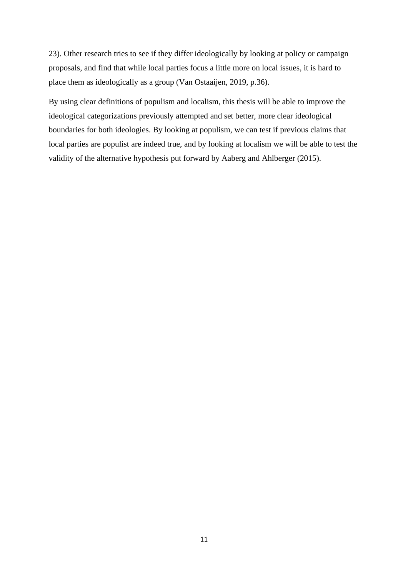23). Other research tries to see if they differ ideologically by looking at policy or campaign proposals, and find that while local parties focus a little more on local issues, it is hard to place them as ideologically as a group (Van Ostaaijen, 2019, p.36).

By using clear definitions of populism and localism, this thesis will be able to improve the ideological categorizations previously attempted and set better, more clear ideological boundaries for both ideologies. By looking at populism, we can test if previous claims that local parties are populist are indeed true, and by looking at localism we will be able to test the validity of the alternative hypothesis put forward by Aaberg and Ahlberger (2015).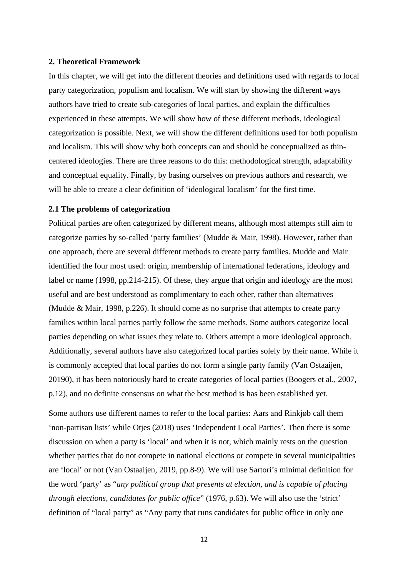## <span id="page-11-0"></span>**2. Theoretical Framework**

In this chapter, we will get into the different theories and definitions used with regards to local party categorization, populism and localism. We will start by showing the different ways authors have tried to create sub-categories of local parties, and explain the difficulties experienced in these attempts. We will show how of these different methods, ideological categorization is possible. Next, we will show the different definitions used for both populism and localism. This will show why both concepts can and should be conceptualized as thincentered ideologies. There are three reasons to do this: methodological strength, adaptability and conceptual equality. Finally, by basing ourselves on previous authors and research, we will be able to create a clear definition of 'ideological localism' for the first time.

## <span id="page-11-1"></span>**2.1 The problems of categorization**

Political parties are often categorized by different means, although most attempts still aim to categorize parties by so-called 'party families' (Mudde & Mair, 1998). However, rather than one approach, there are several different methods to create party families. Mudde and Mair identified the four most used: origin, membership of international federations, ideology and label or name (1998, pp.214-215). Of these, they argue that origin and ideology are the most useful and are best understood as complimentary to each other, rather than alternatives (Mudde & Mair, 1998, p.226). It should come as no surprise that attempts to create party families within local parties partly follow the same methods. Some authors categorize local parties depending on what issues they relate to. Others attempt a more ideological approach. Additionally, several authors have also categorized local parties solely by their name. While it is commonly accepted that local parties do not form a single party family (Van Ostaaijen, 20190), it has been notoriously hard to create categories of local parties (Boogers et al., 2007, p.12), and no definite consensus on what the best method is has been established yet.

Some authors use different names to refer to the local parties: Aars and Rinkjøb call them 'non-partisan lists' while Otjes (2018) uses 'Independent Local Parties'. Then there is some discussion on when a party is 'local' and when it is not, which mainly rests on the question whether parties that do not compete in national elections or compete in several municipalities are 'local' or not (Van Ostaaijen, 2019, pp.8-9). We will use Sartori's minimal definition for the word 'party' as "*any political group that presents at election, and is capable of placing through elections, candidates for public office*" (1976, p.63). We will also use the 'strict' definition of "local party" as "Any party that runs candidates for public office in only one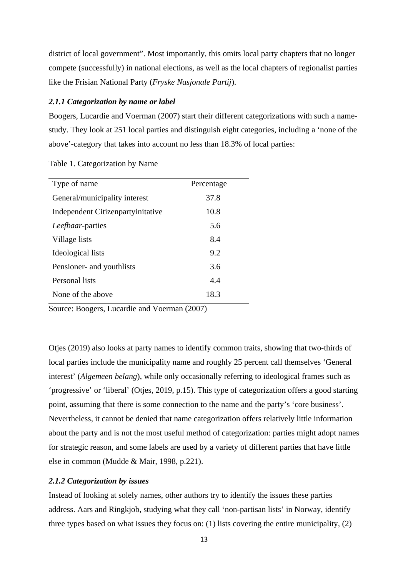district of local government". Most importantly, this omits local party chapters that no longer compete (successfully) in national elections, as well as the local chapters of regionalist parties like the Frisian National Party (*Fryske Nasjonale Partij*).

## <span id="page-12-0"></span>*2.1.1 Categorization by name or label*

Boogers, Lucardie and Voerman (2007) start their different categorizations with such a namestudy. They look at 251 local parties and distinguish eight categories, including a 'none of the above'-category that takes into account no less than 18.3% of local parties:

| Type of name                      | Percentage |
|-----------------------------------|------------|
| General/municipality interest     | 37.8       |
| Independent Citizenpartyinitative | 10.8       |
| <i>Leefbaar</i> -parties          | 5.6        |
| Village lists                     | 8.4        |
| Ideological lists                 | 9.2        |
| Pensioner- and youthlists         | 3.6        |
| Personal lists                    | 4.4        |
| None of the above                 | 18.3       |

|  | Table 1. Categorization by Name |  |  |
|--|---------------------------------|--|--|
|--|---------------------------------|--|--|

Source: Boogers, Lucardie and Voerman (2007)

Otjes (2019) also looks at party names to identify common traits, showing that two-thirds of local parties include the municipality name and roughly 25 percent call themselves 'General interest' (*Algemeen belang*), while only occasionally referring to ideological frames such as 'progressive' or 'liberal' (Otjes, 2019, p.15). This type of categorization offers a good starting point, assuming that there is some connection to the name and the party's 'core business'. Nevertheless, it cannot be denied that name categorization offers relatively little information about the party and is not the most useful method of categorization: parties might adopt names for strategic reason, and some labels are used by a variety of different parties that have little else in common (Mudde & Mair, 1998, p.221).

## <span id="page-12-1"></span>*2.1.2 Categorization by issues*

Instead of looking at solely names, other authors try to identify the issues these parties address. Aars and Ringkjob, studying what they call 'non-partisan lists' in Norway, identify three types based on what issues they focus on: (1) lists covering the entire municipality, (2)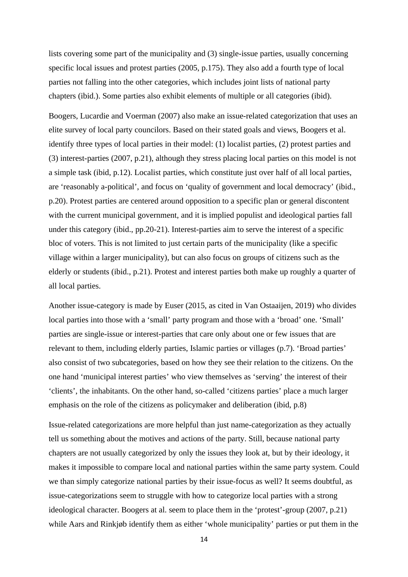lists covering some part of the municipality and (3) single-issue parties, usually concerning specific local issues and protest parties (2005, p.175). They also add a fourth type of local parties not falling into the other categories, which includes joint lists of national party chapters (ibid.). Some parties also exhibit elements of multiple or all categories (ibid).

Boogers, Lucardie and Voerman (2007) also make an issue-related categorization that uses an elite survey of local party councilors. Based on their stated goals and views, Boogers et al. identify three types of local parties in their model: (1) localist parties, (2) protest parties and (3) interest-parties (2007, p.21), although they stress placing local parties on this model is not a simple task (ibid, p.12). Localist parties, which constitute just over half of all local parties, are 'reasonably a-political', and focus on 'quality of government and local democracy' (ibid., p.20). Protest parties are centered around opposition to a specific plan or general discontent with the current municipal government, and it is implied populist and ideological parties fall under this category (ibid., pp.20-21). Interest-parties aim to serve the interest of a specific bloc of voters. This is not limited to just certain parts of the municipality (like a specific village within a larger municipality), but can also focus on groups of citizens such as the elderly or students (ibid., p.21). Protest and interest parties both make up roughly a quarter of all local parties.

Another issue-category is made by Euser (2015, as cited in Van Ostaaijen, 2019) who divides local parties into those with a 'small' party program and those with a 'broad' one. 'Small' parties are single-issue or interest-parties that care only about one or few issues that are relevant to them, including elderly parties, Islamic parties or villages (p.7). 'Broad parties' also consist of two subcategories, based on how they see their relation to the citizens. On the one hand 'municipal interest parties' who view themselves as 'serving' the interest of their 'clients', the inhabitants. On the other hand, so-called 'citizens parties' place a much larger emphasis on the role of the citizens as policymaker and deliberation (ibid, p.8)

Issue-related categorizations are more helpful than just name-categorization as they actually tell us something about the motives and actions of the party. Still, because national party chapters are not usually categorized by only the issues they look at, but by their ideology, it makes it impossible to compare local and national parties within the same party system. Could we than simply categorize national parties by their issue-focus as well? It seems doubtful, as issue-categorizations seem to struggle with how to categorize local parties with a strong ideological character. Boogers at al. seem to place them in the 'protest'-group (2007, p.21) while Aars and Rinkjøb identify them as either 'whole municipality' parties or put them in the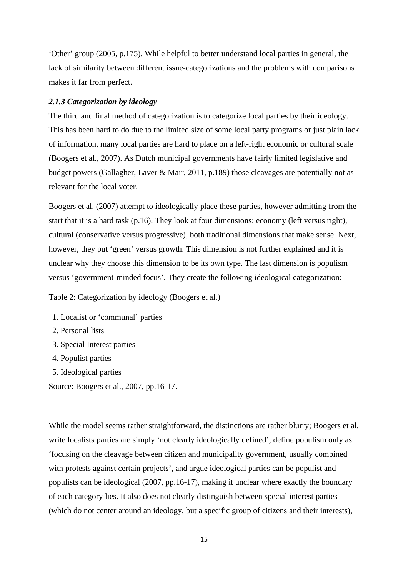'Other' group (2005, p.175). While helpful to better understand local parties in general, the lack of similarity between different issue-categorizations and the problems with comparisons makes it far from perfect.

## <span id="page-14-0"></span>*2.1.3 Categorization by ideology*

The third and final method of categorization is to categorize local parties by their ideology. This has been hard to do due to the limited size of some local party programs or just plain lack of information, many local parties are hard to place on a left-right economic or cultural scale (Boogers et al., 2007). As Dutch municipal governments have fairly limited legislative and budget powers (Gallagher, Laver & Mair, 2011, p.189) those cleavages are potentially not as relevant for the local voter.

Boogers et al. (2007) attempt to ideologically place these parties, however admitting from the start that it is a hard task (p.16). They look at four dimensions: economy (left versus right), cultural (conservative versus progressive), both traditional dimensions that make sense. Next, however, they put 'green' versus growth. This dimension is not further explained and it is unclear why they choose this dimension to be its own type. The last dimension is populism versus 'government-minded focus'. They create the following ideological categorization:

Table 2: Categorization by ideology (Boogers et al.)

- 3. Special Interest parties
- 4. Populist parties
- 5. Ideological parties

Source: Boogers et al., 2007, pp.16-17.

While the model seems rather straightforward, the distinctions are rather blurry; Boogers et al. write localists parties are simply 'not clearly ideologically defined', define populism only as 'focusing on the cleavage between citizen and municipality government, usually combined with protests against certain projects', and argue ideological parties can be populist and populists can be ideological (2007, pp.16-17), making it unclear where exactly the boundary of each category lies. It also does not clearly distinguish between special interest parties (which do not center around an ideology, but a specific group of citizens and their interests),

<sup>1.</sup> Localist or 'communal' parties

<sup>2.</sup> Personal lists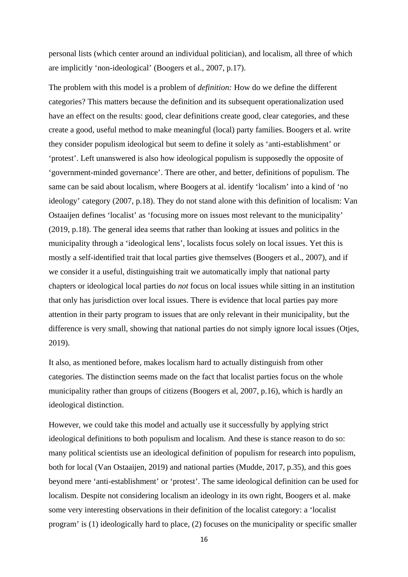personal lists (which center around an individual politician), and localism, all three of which are implicitly 'non-ideological' (Boogers et al., 2007, p.17).

The problem with this model is a problem of *definition:* How do we define the different categories? This matters because the definition and its subsequent operationalization used have an effect on the results: good, clear definitions create good, clear categories, and these create a good, useful method to make meaningful (local) party families. Boogers et al. write they consider populism ideological but seem to define it solely as 'anti-establishment' or 'protest'. Left unanswered is also how ideological populism is supposedly the opposite of 'government-minded governance'. There are other, and better, definitions of populism. The same can be said about localism, where Boogers at al. identify 'localism' into a kind of 'no ideology' category (2007, p.18). They do not stand alone with this definition of localism: Van Ostaaijen defines 'localist' as 'focusing more on issues most relevant to the municipality' (2019, p.18). The general idea seems that rather than looking at issues and politics in the municipality through a 'ideological lens', localists focus solely on local issues. Yet this is mostly a self-identified trait that local parties give themselves (Boogers et al., 2007), and if we consider it a useful, distinguishing trait we automatically imply that national party chapters or ideological local parties do *not* focus on local issues while sitting in an institution that only has jurisdiction over local issues. There is evidence that local parties pay more attention in their party program to issues that are only relevant in their municipality, but the difference is very small, showing that national parties do not simply ignore local issues (Otjes, 2019).

It also, as mentioned before, makes localism hard to actually distinguish from other categories. The distinction seems made on the fact that localist parties focus on the whole municipality rather than groups of citizens (Boogers et al, 2007, p.16), which is hardly an ideological distinction.

However, we could take this model and actually use it successfully by applying strict ideological definitions to both populism and localism. And these is stance reason to do so: many political scientists use an ideological definition of populism for research into populism, both for local (Van Ostaaijen, 2019) and national parties (Mudde, 2017, p.35), and this goes beyond mere 'anti-establishment' or 'protest'. The same ideological definition can be used for localism. Despite not considering localism an ideology in its own right, Boogers et al. make some very interesting observations in their definition of the localist category: a 'localist program' is (1) ideologically hard to place, (2) focuses on the municipality or specific smaller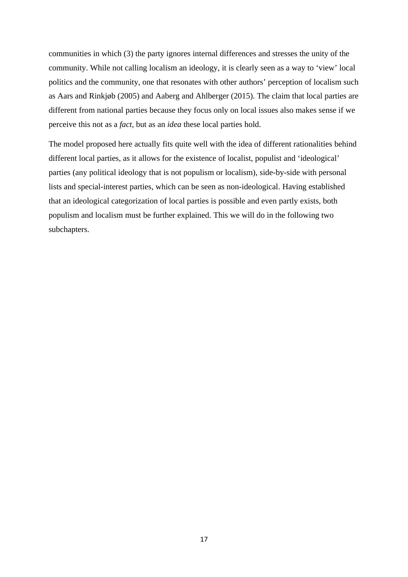communities in which (3) the party ignores internal differences and stresses the unity of the community. While not calling localism an ideology, it is clearly seen as a way to 'view' local politics and the community, one that resonates with other authors' perception of localism such as Aars and Rinkjøb (2005) and Aaberg and Ahlberger (2015). The claim that local parties are different from national parties because they focus only on local issues also makes sense if we perceive this not as a *fact*, but as an *idea* these local parties hold.

The model proposed here actually fits quite well with the idea of different rationalities behind different local parties, as it allows for the existence of localist, populist and 'ideological' parties (any political ideology that is not populism or localism), side-by-side with personal lists and special-interest parties, which can be seen as non-ideological. Having established that an ideological categorization of local parties is possible and even partly exists, both populism and localism must be further explained. This we will do in the following two subchapters.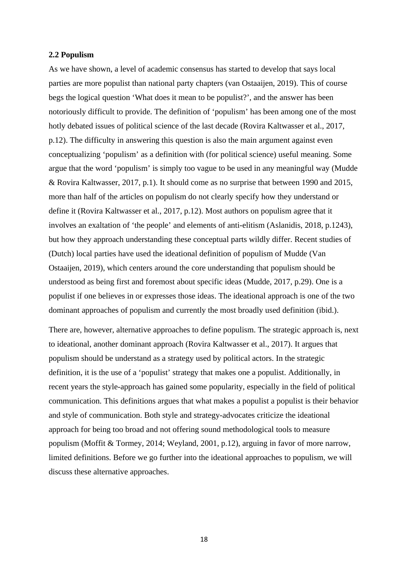## <span id="page-17-0"></span>**2.2 Populism**

As we have shown, a level of academic consensus has started to develop that says local parties are more populist than national party chapters (van Ostaaijen, 2019). This of course begs the logical question 'What does it mean to be populist?', and the answer has been notoriously difficult to provide. The definition of 'populism' has been among one of the most hotly debated issues of political science of the last decade (Rovira Kaltwasser et al., 2017, p.12). The difficulty in answering this question is also the main argument against even conceptualizing 'populism' as a definition with (for political science) useful meaning. Some argue that the word 'populism' is simply too vague to be used in any meaningful way (Mudde & Rovira Kaltwasser, 2017, p.1). It should come as no surprise that between 1990 and 2015, more than half of the articles on populism do not clearly specify how they understand or define it (Rovira Kaltwasser et al., 2017, p.12). Most authors on populism agree that it involves an exaltation of 'the people' and elements of anti-elitism (Aslanidis, 2018, p.1243), but how they approach understanding these conceptual parts wildly differ. Recent studies of (Dutch) local parties have used the ideational definition of populism of Mudde (Van Ostaaijen, 2019), which centers around the core understanding that populism should be understood as being first and foremost about specific ideas (Mudde, 2017, p.29). One is a populist if one believes in or expresses those ideas. The ideational approach is one of the two dominant approaches of populism and currently the most broadly used definition (ibid.).

There are, however, alternative approaches to define populism. The strategic approach is, next to ideational, another dominant approach (Rovira Kaltwasser et al., 2017). It argues that populism should be understand as a strategy used by political actors. In the strategic definition, it is the use of a 'populist' strategy that makes one a populist. Additionally, in recent years the style-approach has gained some popularity, especially in the field of political communication. This definitions argues that what makes a populist a populist is their behavior and style of communication. Both style and strategy-advocates criticize the ideational approach for being too broad and not offering sound methodological tools to measure populism (Moffit & Tormey, 2014; Weyland, 2001, p.12), arguing in favor of more narrow, limited definitions. Before we go further into the ideational approaches to populism, we will discuss these alternative approaches.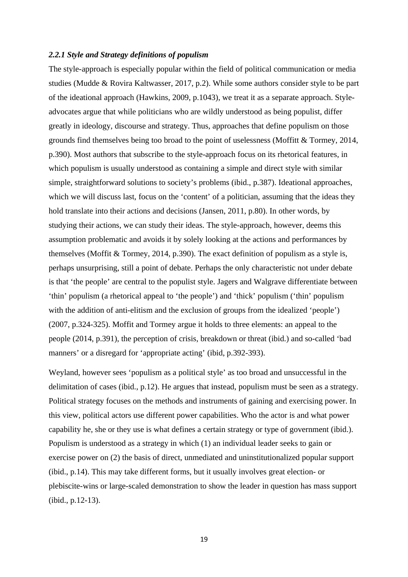## <span id="page-18-0"></span>*2.2.1 Style and Strategy definitions of populism*

The style-approach is especially popular within the field of political communication or media studies (Mudde & Rovira Kaltwasser, 2017, p.2). While some authors consider style to be part of the ideational approach (Hawkins, 2009, p.1043), we treat it as a separate approach. Styleadvocates argue that while politicians who are wildly understood as being populist, differ greatly in ideology, discourse and strategy. Thus, approaches that define populism on those grounds find themselves being too broad to the point of uselessness (Moffitt & Tormey, 2014, p.390). Most authors that subscribe to the style-approach focus on its rhetorical features, in which populism is usually understood as containing a simple and direct style with similar simple, straightforward solutions to society's problems (ibid., p.387). Ideational approaches, which we will discuss last, focus on the 'content' of a politician, assuming that the ideas they hold translate into their actions and decisions (Jansen, 2011, p.80). In other words, by studying their actions, we can study their ideas. The style-approach, however, deems this assumption problematic and avoids it by solely looking at the actions and performances by themselves (Moffit & Tormey, 2014, p.390). The exact definition of populism as a style is, perhaps unsurprising, still a point of debate. Perhaps the only characteristic not under debate is that 'the people' are central to the populist style. Jagers and Walgrave differentiate between 'thin' populism (a rhetorical appeal to 'the people') and 'thick' populism ('thin' populism with the addition of anti-elitism and the exclusion of groups from the idealized 'people') (2007, p.324-325). Moffit and Tormey argue it holds to three elements: an appeal to the people (2014, p.391), the perception of crisis, breakdown or threat (ibid.) and so-called 'bad manners' or a disregard for 'appropriate acting' (ibid, p.392-393).

Weyland, however sees 'populism as a political style' as too broad and unsuccessful in the delimitation of cases (ibid., p.12). He argues that instead, populism must be seen as a strategy. Political strategy focuses on the methods and instruments of gaining and exercising power. In this view, political actors use different power capabilities. Who the actor is and what power capability he, she or they use is what defines a certain strategy or type of government (ibid.). Populism is understood as a strategy in which (1) an individual leader seeks to gain or exercise power on (2) the basis of direct, unmediated and uninstitutionalized popular support (ibid., p.14). This may take different forms, but it usually involves great election- or plebiscite-wins or large-scaled demonstration to show the leader in question has mass support (ibid., p.12-13).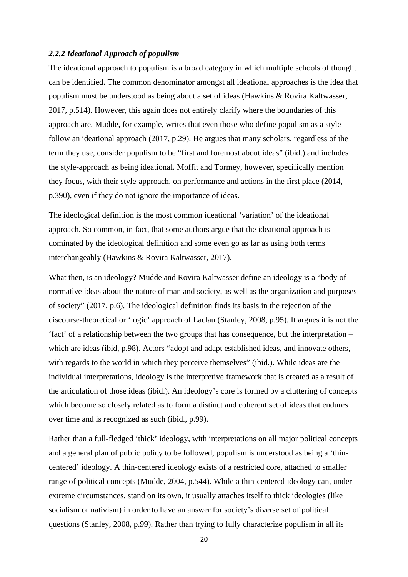## <span id="page-19-0"></span>*2.2.2 Ideational Approach of populism*

The ideational approach to populism is a broad category in which multiple schools of thought can be identified. The common denominator amongst all ideational approaches is the idea that populism must be understood as being about a set of ideas (Hawkins & Rovira Kaltwasser, 2017, p.514). However, this again does not entirely clarify where the boundaries of this approach are. Mudde, for example, writes that even those who define populism as a style follow an ideational approach (2017, p.29). He argues that many scholars, regardless of the term they use, consider populism to be "first and foremost about ideas" (ibid.) and includes the style-approach as being ideational. Moffit and Tormey, however, specifically mention they focus, with their style-approach, on performance and actions in the first place (2014, p.390), even if they do not ignore the importance of ideas.

The ideological definition is the most common ideational 'variation' of the ideational approach. So common, in fact, that some authors argue that the ideational approach is dominated by the ideological definition and some even go as far as using both terms interchangeably (Hawkins & Rovira Kaltwasser, 2017).

What then, is an ideology? Mudde and Rovira Kaltwasser define an ideology is a "body of normative ideas about the nature of man and society, as well as the organization and purposes of society" (2017, p.6). The ideological definition finds its basis in the rejection of the discourse-theoretical or 'logic' approach of Laclau (Stanley, 2008, p.95). It argues it is not the 'fact' of a relationship between the two groups that has consequence, but the interpretation – which are ideas (ibid, p.98). Actors "adopt and adapt established ideas, and innovate others, with regards to the world in which they perceive themselves" (ibid.). While ideas are the individual interpretations, ideology is the interpretive framework that is created as a result of the articulation of those ideas (ibid.). An ideology's core is formed by a cluttering of concepts which become so closely related as to form a distinct and coherent set of ideas that endures over time and is recognized as such (ibid., p.99).

Rather than a full-fledged 'thick' ideology, with interpretations on all major political concepts and a general plan of public policy to be followed, populism is understood as being a 'thincentered' ideology. A thin-centered ideology exists of a restricted core, attached to smaller range of political concepts (Mudde, 2004, p.544). While a thin-centered ideology can, under extreme circumstances, stand on its own, it usually attaches itself to thick ideologies (like socialism or nativism) in order to have an answer for society's diverse set of political questions (Stanley, 2008, p.99). Rather than trying to fully characterize populism in all its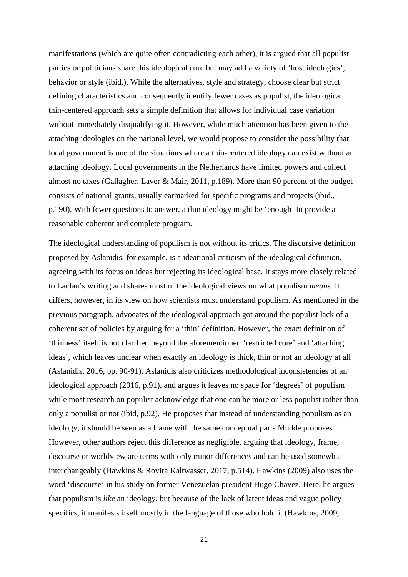manifestations (which are quite often contradicting each other), it is argued that all populist parties or politicians share this ideological core but may add a variety of 'host ideologies', behavior or style (ibid.). While the alternatives, style and strategy, choose clear but strict defining characteristics and consequently identify fewer cases as populist, the ideological thin-centered approach sets a simple definition that allows for individual case variation without immediately disqualifying it. However, while much attention has been given to the attaching ideologies on the national level, we would propose to consider the possibility that local government is one of the situations where a thin-centered ideology can exist without an attaching ideology. Local governments in the Netherlands have limited powers and collect almost no taxes (Gallagher, Laver & Mair, 2011, p.189). More than 90 percent of the budget consists of national grants, usually earmarked for specific programs and projects (ibid., p.190). With fewer questions to answer, a thin ideology might be 'enough' to provide a reasonable coherent and complete program.

The ideological understanding of populism is not without its critics. The discursive definition proposed by Aslanidis, for example, is a ideational criticism of the ideological definition, agreeing with its focus on ideas but rejecting its ideological base. It stays more closely related to Laclau's writing and shares most of the ideological views on what populism *means.* It differs, however, in its view on how scientists must understand populism. As mentioned in the previous paragraph, advocates of the ideological approach got around the populist lack of a coherent set of policies by arguing for a 'thin' definition. However, the exact definition of 'thinness' itself is not clarified beyond the aforementioned 'restricted core' and 'attaching ideas', which leaves unclear when exactly an ideology is thick, thin or not an ideology at all (Aslanidis, 2016, pp. 90-91). Aslanidis also criticizes methodological inconsistencies of an ideological approach (2016, p.91), and argues it leaves no space for 'degrees' of populism while most research on populist acknowledge that one can be more or less populist rather than only a populist or not (ibid, p.92). He proposes that instead of understanding populism as an ideology, it should be seen as a frame with the same conceptual parts Mudde proposes. However, other authors reject this difference as negligible, arguing that ideology, frame, discourse or worldview are terms with only minor differences and can be used somewhat interchangeably (Hawkins & Rovira Kaltwasser, 2017, p.514). Hawkins (2009) also uses the word 'discourse' in his study on former Venezuelan president Hugo Chavez. Here, he argues that populism is *like* an ideology, but because of the lack of latent ideas and vague policy specifics, it manifests itself mostly in the language of those who hold it (Hawkins, 2009,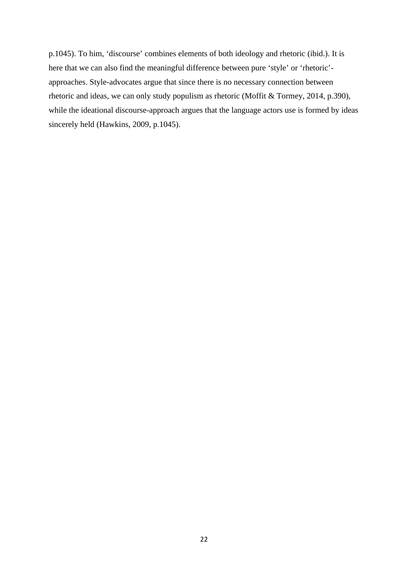p.1045). To him, 'discourse' combines elements of both ideology and rhetoric (ibid.). It is here that we can also find the meaningful difference between pure 'style' or 'rhetoric' approaches. Style-advocates argue that since there is no necessary connection between rhetoric and ideas, we can only study populism as rhetoric (Moffit & Tormey, 2014, p.390), while the ideational discourse-approach argues that the language actors use is formed by ideas sincerely held (Hawkins, 2009, p.1045).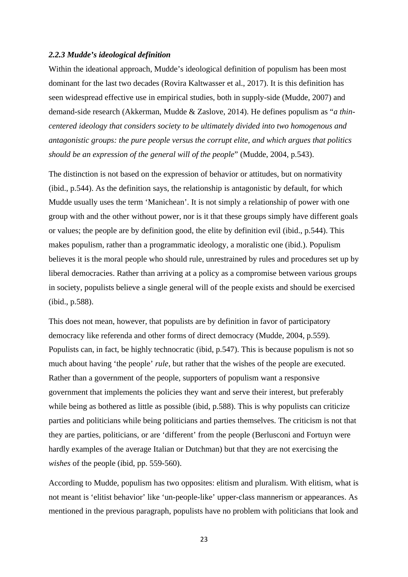## <span id="page-22-0"></span>*2.2.3 Mudde's ideological definition*

Within the ideational approach, Mudde's ideological definition of populism has been most dominant for the last two decades (Rovira Kaltwasser et al., 2017). It is this definition has seen widespread effective use in empirical studies, both in supply-side (Mudde, 2007) and demand-side research (Akkerman, Mudde & Zaslove, 2014). He defines populism as "*a thincentered ideology that considers society to be ultimately divided into two homogenous and antagonistic groups: the pure people versus the corrupt elite, and which argues that politics should be an expression of the general will of the people*" (Mudde, 2004, p.543).

The distinction is not based on the expression of behavior or attitudes, but on normativity (ibid., p.544). As the definition says, the relationship is antagonistic by default, for which Mudde usually uses the term 'Manichean'. It is not simply a relationship of power with one group with and the other without power, nor is it that these groups simply have different goals or values; the people are by definition good, the elite by definition evil (ibid., p.544). This makes populism, rather than a programmatic ideology, a moralistic one (ibid.). Populism believes it is the moral people who should rule, unrestrained by rules and procedures set up by liberal democracies. Rather than arriving at a policy as a compromise between various groups in society, populists believe a single general will of the people exists and should be exercised (ibid., p.588).

This does not mean, however, that populists are by definition in favor of participatory democracy like referenda and other forms of direct democracy (Mudde, 2004, p.559). Populists can, in fact, be highly technocratic (ibid, p.547). This is because populism is not so much about having 'the people' *rule*, but rather that the wishes of the people are executed. Rather than a government of the people, supporters of populism want a responsive government that implements the policies they want and serve their interest, but preferably while being as bothered as little as possible (ibid, p.588). This is why populists can criticize parties and politicians while being politicians and parties themselves. The criticism is not that they are parties, politicians, or are 'different' from the people (Berlusconi and Fortuyn were hardly examples of the average Italian or Dutchman) but that they are not exercising the *wishes* of the people (ibid, pp. 559-560).

According to Mudde, populism has two opposites: elitism and pluralism. With elitism, what is not meant is 'elitist behavior' like 'un-people-like' upper-class mannerism or appearances. As mentioned in the previous paragraph, populists have no problem with politicians that look and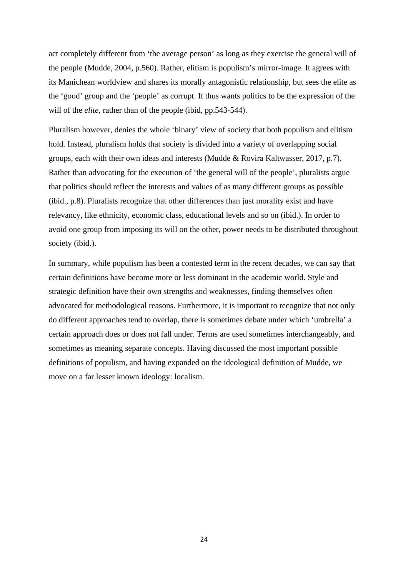act completely different from 'the average person' as long as they exercise the general will of the people (Mudde, 2004, p.560). Rather, elitism is populism's mirror-image. It agrees with its Manichean worldview and shares its morally antagonistic relationship, but sees the elite as the 'good' group and the 'people' as corrupt. It thus wants politics to be the expression of the will of the *elite*, rather than of the people (ibid, pp.543-544).

Pluralism however, denies the whole 'binary' view of society that both populism and elitism hold. Instead, pluralism holds that society is divided into a variety of overlapping social groups, each with their own ideas and interests (Mudde & Rovira Kaltwasser, 2017, p.7). Rather than advocating for the execution of 'the general will of the people', pluralists argue that politics should reflect the interests and values of as many different groups as possible (ibid., p.8). Pluralists recognize that other differences than just morality exist and have relevancy, like ethnicity, economic class, educational levels and so on (ibid.). In order to avoid one group from imposing its will on the other, power needs to be distributed throughout society (ibid.).

In summary, while populism has been a contested term in the recent decades, we can say that certain definitions have become more or less dominant in the academic world. Style and strategic definition have their own strengths and weaknesses, finding themselves often advocated for methodological reasons. Furthermore, it is important to recognize that not only do different approaches tend to overlap, there is sometimes debate under which 'umbrella' a certain approach does or does not fall under. Terms are used sometimes interchangeably, and sometimes as meaning separate concepts. Having discussed the most important possible definitions of populism, and having expanded on the ideological definition of Mudde, we move on a far lesser known ideology: localism.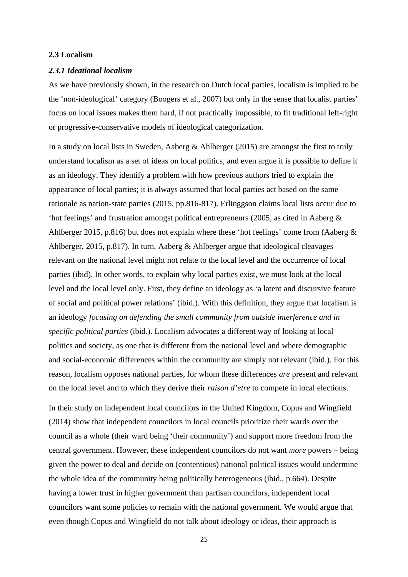## <span id="page-24-0"></span>**2.3 Localism**

#### <span id="page-24-1"></span>*2.3.1 Ideational localism*

As we have previously shown, in the research on Dutch local parties, localism is implied to be the 'non-ideological' category (Boogers et al., 2007) but only in the sense that localist parties' focus on local issues makes them hard, if not practically impossible, to fit traditional left-right or progressive-conservative models of ideological categorization.

In a study on local lists in Sweden, Aaberg & Ahlberger (2015) are amongst the first to truly understand localism as a set of ideas on local politics, and even argue it is possible to define it as an ideology. They identify a problem with how previous authors tried to explain the appearance of local parties; it is always assumed that local parties act based on the same rationale as nation-state parties (2015, pp.816-817). Erlinggson claims local lists occur due to 'hot feelings' and frustration amongst political entrepreneurs (2005, as cited in Aaberg & Ahlberger 2015, p.816) but does not explain where these 'hot feelings' come from (Aaberg & Ahlberger, 2015, p.817). In turn, Aaberg & Ahlberger argue that ideological cleavages relevant on the national level might not relate to the local level and the occurrence of local parties (ibid). In other words, to explain why local parties exist, we must look at the local level and the local level only. First, they define an ideology as 'a latent and discursive feature of social and political power relations' (ibid.). With this definition, they argue that localism is an ideology *focusing on defending the small community from outside interference and in specific political parties* (ibid.). Localism advocates a different way of looking at local politics and society, as one that is different from the national level and where demographic and social-economic differences within the community are simply not relevant (ibid.). For this reason, localism opposes national parties, for whom these differences *are* present and relevant on the local level and to which they derive their *raison d'etre* to compete in local elections.

In their study on independent local councilors in the United Kingdom, Copus and Wingfield (2014) show that independent councilors in local councils prioritize their wards over the council as a whole (their ward being 'their community') and support more freedom from the central government. However, these independent councilors do not want *more* powers – being given the power to deal and decide on (contentious) national political issues would undermine the whole idea of the community being politically heterogeneous (ibid., p.664). Despite having a lower trust in higher government than partisan councilors, independent local councilors want some policies to remain with the national government. We would argue that even though Copus and Wingfield do not talk about ideology or ideas, their approach is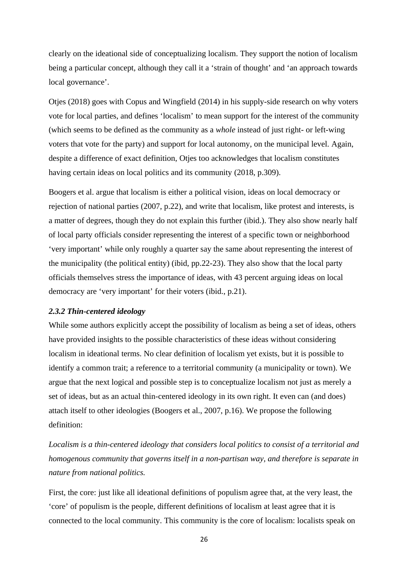clearly on the ideational side of conceptualizing localism. They support the notion of localism being a particular concept, although they call it a 'strain of thought' and 'an approach towards local governance'.

Otjes (2018) goes with Copus and Wingfield (2014) in his supply-side research on why voters vote for local parties, and defines 'localism' to mean support for the interest of the community (which seems to be defined as the community as a *whole* instead of just right- or left-wing voters that vote for the party) and support for local autonomy, on the municipal level. Again, despite a difference of exact definition, Otjes too acknowledges that localism constitutes having certain ideas on local politics and its community (2018, p.309).

Boogers et al. argue that localism is either a political vision, ideas on local democracy or rejection of national parties (2007, p.22), and write that localism, like protest and interests, is a matter of degrees, though they do not explain this further (ibid.). They also show nearly half of local party officials consider representing the interest of a specific town or neighborhood 'very important' while only roughly a quarter say the same about representing the interest of the municipality (the political entity) (ibid, pp.22-23). They also show that the local party officials themselves stress the importance of ideas, with 43 percent arguing ideas on local democracy are 'very important' for their voters (ibid., p.21).

## <span id="page-25-0"></span>*2.3.2 Thin-centered ideology*

While some authors explicitly accept the possibility of localism as being a set of ideas, others have provided insights to the possible characteristics of these ideas without considering localism in ideational terms. No clear definition of localism yet exists, but it is possible to identify a common trait; a reference to a territorial community (a municipality or town). We argue that the next logical and possible step is to conceptualize localism not just as merely a set of ideas, but as an actual thin-centered ideology in its own right. It even can (and does) attach itself to other ideologies (Boogers et al., 2007, p.16). We propose the following definition:

*Localism is a thin-centered ideology that considers local politics to consist of a territorial and homogenous community that governs itself in a non-partisan way, and therefore is separate in nature from national politics.*

First, the core: just like all ideational definitions of populism agree that, at the very least, the 'core' of populism is the people, different definitions of localism at least agree that it is connected to the local community. This community is the core of localism: localists speak on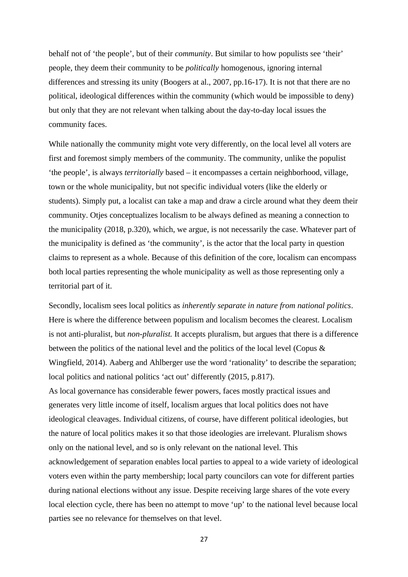behalf not of 'the people', but of their *community*. But similar to how populists see 'their' people, they deem their community to be *politically* homogenous, ignoring internal differences and stressing its unity (Boogers at al., 2007, pp.16-17). It is not that there are no political, ideological differences within the community (which would be impossible to deny) but only that they are not relevant when talking about the day-to-day local issues the community faces.

While nationally the community might vote very differently, on the local level all voters are first and foremost simply members of the community. The community, unlike the populist 'the people', is always *territorially* based – it encompasses a certain neighborhood, village, town or the whole municipality, but not specific individual voters (like the elderly or students). Simply put, a localist can take a map and draw a circle around what they deem their community. Otjes conceptualizes localism to be always defined as meaning a connection to the municipality (2018, p.320), which, we argue, is not necessarily the case. Whatever part of the municipality is defined as 'the community', is the actor that the local party in question claims to represent as a whole. Because of this definition of the core, localism can encompass both local parties representing the whole municipality as well as those representing only a territorial part of it.

Secondly, localism sees local politics as *inherently separate in nature from national politics*. Here is where the difference between populism and localism becomes the clearest. Localism is not anti-pluralist, but *non-pluralist.* It accepts pluralism, but argues that there is a difference between the politics of the national level and the politics of the local level (Copus & Wingfield, 2014). Aaberg and Ahlberger use the word 'rationality' to describe the separation; local politics and national politics 'act out' differently (2015, p.817). As local governance has considerable fewer powers, faces mostly practical issues and generates very little income of itself, localism argues that local politics does not have ideological cleavages. Individual citizens, of course, have different political ideologies, but the nature of local politics makes it so that those ideologies are irrelevant. Pluralism shows only on the national level, and so is only relevant on the national level. This acknowledgement of separation enables local parties to appeal to a wide variety of ideological voters even within the party membership; local party councilors can vote for different parties during national elections without any issue. Despite receiving large shares of the vote every local election cycle, there has been no attempt to move 'up' to the national level because local parties see no relevance for themselves on that level.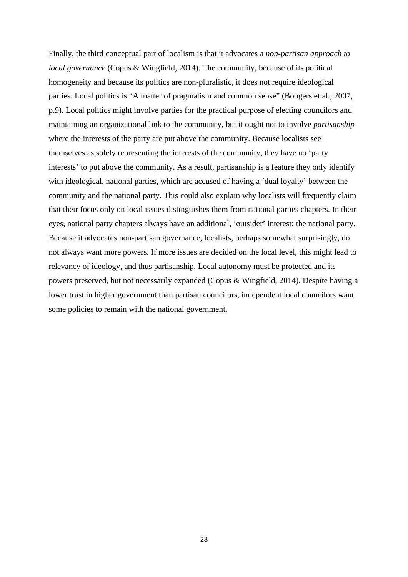Finally, the third conceptual part of localism is that it advocates a *non-partisan approach to local governance* (Copus & Wingfield, 2014). The community, because of its political homogeneity and because its politics are non-pluralistic, it does not require ideological parties. Local politics is "A matter of pragmatism and common sense" (Boogers et al., 2007, p.9). Local politics might involve parties for the practical purpose of electing councilors and maintaining an organizational link to the community, but it ought not to involve *partisanship* where the interests of the party are put above the community. Because localists see themselves as solely representing the interests of the community, they have no 'party interests' to put above the community. As a result, partisanship is a feature they only identify with ideological, national parties, which are accused of having a 'dual loyalty' between the community and the national party. This could also explain why localists will frequently claim that their focus only on local issues distinguishes them from national parties chapters. In their eyes, national party chapters always have an additional, 'outsider' interest: the national party. Because it advocates non-partisan governance, localists, perhaps somewhat surprisingly, do not always want more powers. If more issues are decided on the local level, this might lead to relevancy of ideology, and thus partisanship. Local autonomy must be protected and its powers preserved, but not necessarily expanded (Copus & Wingfield, 2014). Despite having a lower trust in higher government than partisan councilors, independent local councilors want some policies to remain with the national government.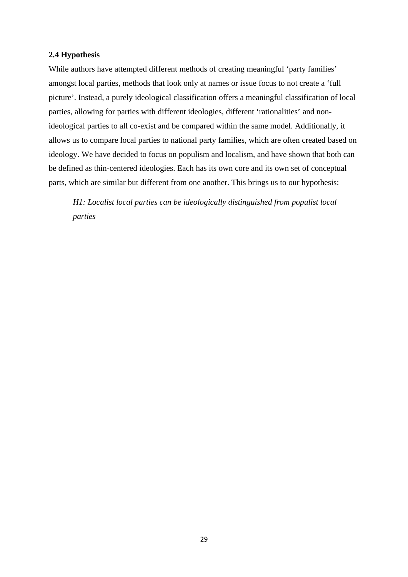## <span id="page-28-0"></span>**2.4 Hypothesis**

While authors have attempted different methods of creating meaningful 'party families' amongst local parties, methods that look only at names or issue focus to not create a 'full picture'. Instead, a purely ideological classification offers a meaningful classification of local parties, allowing for parties with different ideologies, different 'rationalities' and nonideological parties to all co-exist and be compared within the same model. Additionally, it allows us to compare local parties to national party families, which are often created based on ideology. We have decided to focus on populism and localism, and have shown that both can be defined as thin-centered ideologies. Each has its own core and its own set of conceptual parts, which are similar but different from one another. This brings us to our hypothesis:

*H1: Localist local parties can be ideologically distinguished from populist local parties*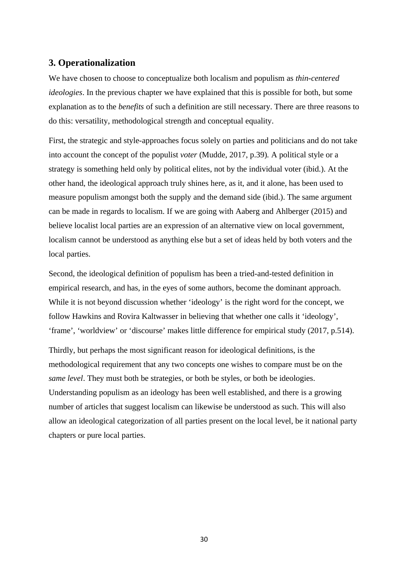## <span id="page-29-0"></span>**3. Operationalization**

We have chosen to choose to conceptualize both localism and populism as *thin-centered ideologies*. In the previous chapter we have explained that this is possible for both, but some explanation as to the *benefits* of such a definition are still necessary. There are three reasons to do this: versatility, methodological strength and conceptual equality.

First, the strategic and style-approaches focus solely on parties and politicians and do not take into account the concept of the populist *voter* (Mudde, 2017, p.39)*.* A political style or a strategy is something held only by political elites, not by the individual voter (ibid.). At the other hand, the ideological approach truly shines here, as it, and it alone, has been used to measure populism amongst both the supply and the demand side (ibid.). The same argument can be made in regards to localism. If we are going with Aaberg and Ahlberger (2015) and believe localist local parties are an expression of an alternative view on local government, localism cannot be understood as anything else but a set of ideas held by both voters and the local parties.

Second, the ideological definition of populism has been a tried-and-tested definition in empirical research, and has, in the eyes of some authors, become the dominant approach. While it is not beyond discussion whether 'ideology' is the right word for the concept, we follow Hawkins and Rovira Kaltwasser in believing that whether one calls it 'ideology', 'frame', 'worldview' or 'discourse' makes little difference for empirical study (2017, p.514).

Thirdly, but perhaps the most significant reason for ideological definitions, is the methodological requirement that any two concepts one wishes to compare must be on the *same level*. They must both be strategies, or both be styles, or both be ideologies. Understanding populism as an ideology has been well established, and there is a growing number of articles that suggest localism can likewise be understood as such. This will also allow an ideological categorization of all parties present on the local level, be it national party chapters or pure local parties.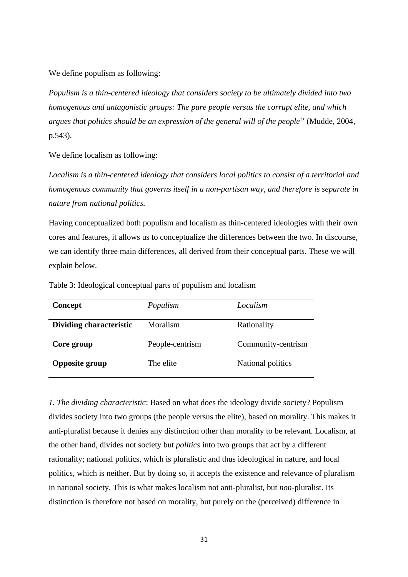We define populism as following:

*Populism is a thin-centered ideology that considers society to be ultimately divided into two homogenous and antagonistic groups: The pure people versus the corrupt elite, and which argues that politics should be an expression of the general will of the people"* (Mudde, 2004, p.543).

We define localism as following:

*Localism is a thin-centered ideology that considers local politics to consist of a territorial and homogenous community that governs itself in a non-partisan way, and therefore is separate in nature from national politics.*

Having conceptualized both populism and localism as thin-centered ideologies with their own cores and features, it allows us to conceptualize the differences between the two. In discourse, we can identify three main differences, all derived from their conceptual parts. These we will explain below.

Table 3: Ideological conceptual parts of populism and localism

| Concept                        | Populism        | Localism           |
|--------------------------------|-----------------|--------------------|
| <b>Dividing characteristic</b> | Moralism        | Rationality        |
| Core group                     | People-centrism | Community-centrism |
| <b>Opposite group</b>          | The elite       | National politics  |

*1. The dividing characteristic*: Based on what does the ideology divide society? Populism divides society into two groups (the people versus the elite), based on morality. This makes it anti-pluralist because it denies any distinction other than morality to be relevant. Localism, at the other hand, divides not society but *politics* into two groups that act by a different rationality; national politics, which is pluralistic and thus ideological in nature, and local politics, which is neither. But by doing so, it accepts the existence and relevance of pluralism in national society. This is what makes localism not anti-pluralist, but *non-*pluralist. Its distinction is therefore not based on morality, but purely on the (perceived) difference in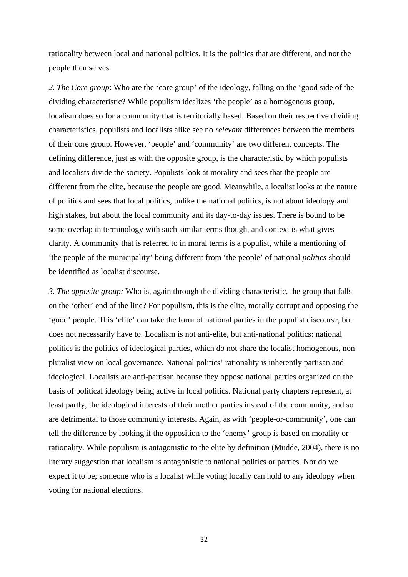rationality between local and national politics. It is the politics that are different, and not the people themselves.

*2. The Core group*: Who are the 'core group' of the ideology, falling on the 'good side of the dividing characteristic? While populism idealizes 'the people' as a homogenous group, localism does so for a community that is territorially based. Based on their respective dividing characteristics, populists and localists alike see no *relevant* differences between the members of their core group. However, 'people' and 'community' are two different concepts. The defining difference, just as with the opposite group, is the characteristic by which populists and localists divide the society. Populists look at morality and sees that the people are different from the elite, because the people are good. Meanwhile, a localist looks at the nature of politics and sees that local politics, unlike the national politics, is not about ideology and high stakes, but about the local community and its day-to-day issues. There is bound to be some overlap in terminology with such similar terms though, and context is what gives clarity. A community that is referred to in moral terms is a populist, while a mentioning of 'the people of the municipality' being different from 'the people' of national *politics* should be identified as localist discourse.

*3. The opposite group:* Who is, again through the dividing characteristic, the group that falls on the 'other' end of the line? For populism, this is the elite, morally corrupt and opposing the 'good' people. This 'elite' can take the form of national parties in the populist discourse, but does not necessarily have to. Localism is not anti-elite, but anti-national politics: national politics is the politics of ideological parties, which do not share the localist homogenous, nonpluralist view on local governance. National politics' rationality is inherently partisan and ideological. Localists are anti-partisan because they oppose national parties organized on the basis of political ideology being active in local politics. National party chapters represent, at least partly, the ideological interests of their mother parties instead of the community, and so are detrimental to those community interests. Again, as with 'people-or-community', one can tell the difference by looking if the opposition to the 'enemy' group is based on morality or rationality. While populism is antagonistic to the elite by definition (Mudde, 2004), there is no literary suggestion that localism is antagonistic to national politics or parties. Nor do we expect it to be; someone who is a localist while voting locally can hold to any ideology when voting for national elections.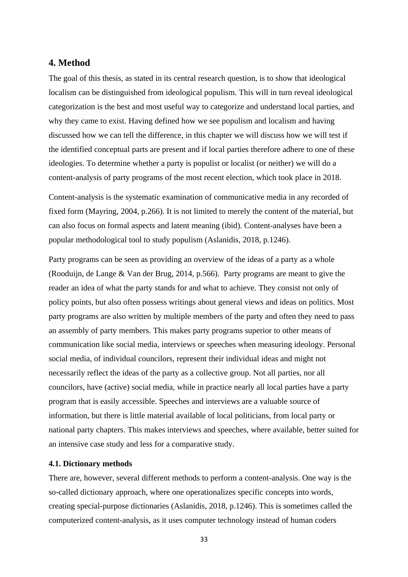## <span id="page-32-1"></span>**4. Method**

The goal of this thesis, as stated in its central research question, is to show that ideological localism can be distinguished from ideological populism. This will in turn reveal ideological categorization is the best and most useful way to categorize and understand local parties, and why they came to exist. Having defined how we see populism and localism and having discussed how we can tell the difference, in this chapter we will discuss how we will test if the identified conceptual parts are present and if local parties therefore adhere to one of these ideologies. To determine whether a party is populist or localist (or neither) we will do a content-analysis of party programs of the most recent election, which took place in 2018.

Content-analysis is the systematic examination of communicative media in any recorded of fixed form (Mayring, 2004, p.266). It is not limited to merely the content of the material, but can also focus on formal aspects and latent meaning (ibid). Content-analyses have been a popular methodological tool to study populism (Aslanidis, 2018, p.1246).

Party programs can be seen as providing an overview of the ideas of a party as a whole (Rooduijn, de Lange & Van der Brug, 2014, p.566). Party programs are meant to give the reader an idea of what the party stands for and what to achieve. They consist not only of policy points, but also often possess writings about general views and ideas on politics. Most party programs are also written by multiple members of the party and often they need to pass an assembly of party members. This makes party programs superior to other means of communication like social media, interviews or speeches when measuring ideology. Personal social media, of individual councilors, represent their individual ideas and might not necessarily reflect the ideas of the party as a collective group. Not all parties, nor all councilors, have (active) social media, while in practice nearly all local parties have a party program that is easily accessible. Speeches and interviews are a valuable source of information, but there is little material available of local politicians, from local party or national party chapters. This makes interviews and speeches, where available, better suited for an intensive case study and less for a comparative study.

## <span id="page-32-0"></span>**4.1. Dictionary methods**

There are, however, several different methods to perform a content-analysis. One way is the so-called dictionary approach, where one operationalizes specific concepts into words, creating special-purpose dictionaries (Aslanidis, 2018, p.1246). This is sometimes called the computerized content-analysis, as it uses computer technology instead of human coders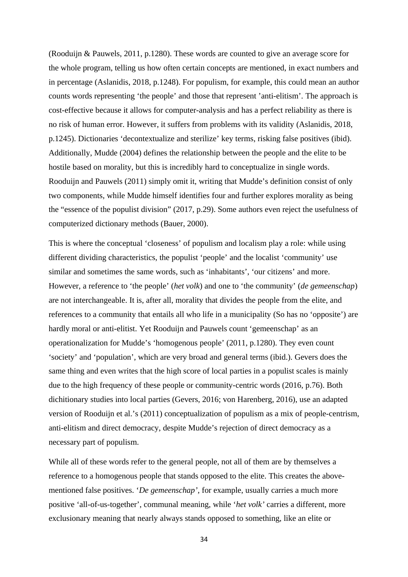(Rooduijn & Pauwels, 2011, p.1280). These words are counted to give an average score for the whole program, telling us how often certain concepts are mentioned, in exact numbers and in percentage (Aslanidis, 2018, p.1248). For populism, for example, this could mean an author counts words representing 'the people' and those that represent 'anti-elitism'. The approach is cost-effective because it allows for computer-analysis and has a perfect reliability as there is no risk of human error. However, it suffers from problems with its validity (Aslanidis, 2018, p.1245). Dictionaries 'decontextualize and sterilize' key terms, risking false positives (ibid). Additionally, Mudde (2004) defines the relationship between the people and the elite to be hostile based on morality, but this is incredibly hard to conceptualize in single words. Rooduijn and Pauwels (2011) simply omit it, writing that Mudde's definition consist of only two components, while Mudde himself identifies four and further explores morality as being the "essence of the populist division" (2017, p.29). Some authors even reject the usefulness of computerized dictionary methods (Bauer, 2000).

This is where the conceptual 'closeness' of populism and localism play a role: while using different dividing characteristics, the populist 'people' and the localist 'community' use similar and sometimes the same words, such as 'inhabitants', 'our citizens' and more. However, a reference to 'the people' (*het volk*) and one to 'the community' (*de gemeenschap*) are not interchangeable. It is, after all, morality that divides the people from the elite, and references to a community that entails all who life in a municipality (So has no 'opposite') are hardly moral or anti-elitist. Yet Rooduijn and Pauwels count 'gemeenschap' as an operationalization for Mudde's 'homogenous people' (2011, p.1280). They even count 'society' and 'population', which are very broad and general terms (ibid.). Gevers does the same thing and even writes that the high score of local parties in a populist scales is mainly due to the high frequency of these people or community-centric words (2016, p.76). Both dichitionary studies into local parties (Gevers, 2016; von Harenberg, 2016), use an adapted version of Rooduijn et al.'s (2011) conceptualization of populism as a mix of people-centrism, anti-elitism and direct democracy, despite Mudde's rejection of direct democracy as a necessary part of populism.

While all of these words refer to the general people, not all of them are by themselves a reference to a homogenous people that stands opposed to the elite. This creates the abovementioned false positives. '*De gemeenschap'*, for example, usually carries a much more positive 'all-of-us-together', communal meaning, while '*het volk'* carries a different, more exclusionary meaning that nearly always stands opposed to something, like an elite or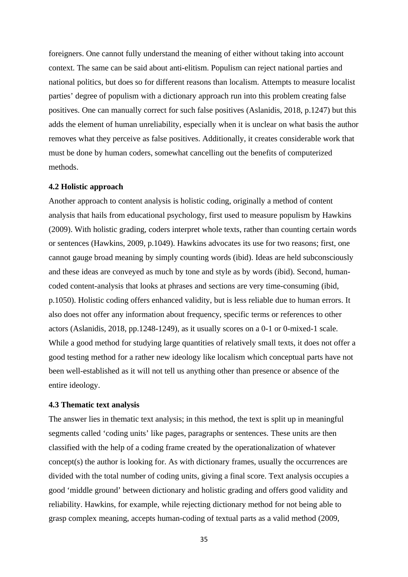foreigners. One cannot fully understand the meaning of either without taking into account context. The same can be said about anti-elitism. Populism can reject national parties and national politics, but does so for different reasons than localism. Attempts to measure localist parties' degree of populism with a dictionary approach run into this problem creating false positives. One can manually correct for such false positives (Aslanidis, 2018, p.1247) but this adds the element of human unreliability, especially when it is unclear on what basis the author removes what they perceive as false positives. Additionally, it creates considerable work that must be done by human coders, somewhat cancelling out the benefits of computerized methods.

#### <span id="page-34-0"></span>**4.2 Holistic approach**

Another approach to content analysis is holistic coding, originally a method of content analysis that hails from educational psychology, first used to measure populism by Hawkins (2009). With holistic grading, coders interpret whole texts, rather than counting certain words or sentences (Hawkins, 2009, p.1049). Hawkins advocates its use for two reasons; first, one cannot gauge broad meaning by simply counting words (ibid). Ideas are held subconsciously and these ideas are conveyed as much by tone and style as by words (ibid). Second, humancoded content-analysis that looks at phrases and sections are very time-consuming (ibid, p.1050). Holistic coding offers enhanced validity, but is less reliable due to human errors. It also does not offer any information about frequency, specific terms or references to other actors (Aslanidis, 2018, pp.1248-1249), as it usually scores on a 0-1 or 0-mixed-1 scale. While a good method for studying large quantities of relatively small texts, it does not offer a good testing method for a rather new ideology like localism which conceptual parts have not been well-established as it will not tell us anything other than presence or absence of the entire ideology.

## <span id="page-34-1"></span>**4.3 Thematic text analysis**

The answer lies in thematic text analysis; in this method, the text is split up in meaningful segments called 'coding units' like pages, paragraphs or sentences. These units are then classified with the help of a coding frame created by the operationalization of whatever concept(s) the author is looking for. As with dictionary frames, usually the occurrences are divided with the total number of coding units, giving a final score. Text analysis occupies a good 'middle ground' between dictionary and holistic grading and offers good validity and reliability. Hawkins, for example, while rejecting dictionary method for not being able to grasp complex meaning, accepts human-coding of textual parts as a valid method (2009,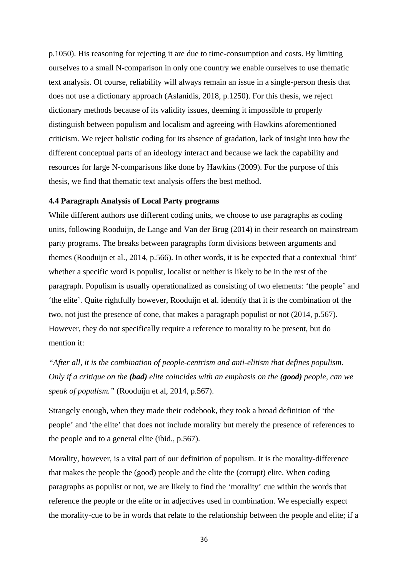p.1050). His reasoning for rejecting it are due to time-consumption and costs. By limiting ourselves to a small N-comparison in only one country we enable ourselves to use thematic text analysis. Of course, reliability will always remain an issue in a single-person thesis that does not use a dictionary approach (Aslanidis, 2018, p.1250). For this thesis, we reject dictionary methods because of its validity issues, deeming it impossible to properly distinguish between populism and localism and agreeing with Hawkins aforementioned criticism. We reject holistic coding for its absence of gradation, lack of insight into how the different conceptual parts of an ideology interact and because we lack the capability and resources for large N-comparisons like done by Hawkins (2009). For the purpose of this thesis, we find that thematic text analysis offers the best method.

## <span id="page-35-0"></span>**4.4 Paragraph Analysis of Local Party programs**

While different authors use different coding units, we choose to use paragraphs as coding units, following Rooduijn, de Lange and Van der Brug (2014) in their research on mainstream party programs. The breaks between paragraphs form divisions between arguments and themes (Rooduijn et al., 2014, p.566). In other words, it is be expected that a contextual 'hint' whether a specific word is populist, localist or neither is likely to be in the rest of the paragraph. Populism is usually operationalized as consisting of two elements: 'the people' and 'the elite'. Quite rightfully however, Rooduijn et al. identify that it is the combination of the two, not just the presence of cone, that makes a paragraph populist or not (2014, p.567). However, they do not specifically require a reference to morality to be present, but do mention it:

*"After all, it is the combination of people-centrism and anti-elitism that defines populism. Only if a critique on the (bad) elite coincides with an emphasis on the (good) people, can we speak of populism."* (Rooduijn et al, 2014, p.567).

Strangely enough, when they made their codebook, they took a broad definition of 'the people' and 'the elite' that does not include morality but merely the presence of references to the people and to a general elite (ibid., p.567).

Morality, however, is a vital part of our definition of populism. It is the morality-difference that makes the people the (good) people and the elite the (corrupt) elite. When coding paragraphs as populist or not, we are likely to find the 'morality' cue within the words that reference the people or the elite or in adjectives used in combination. We especially expect the morality-cue to be in words that relate to the relationship between the people and elite; if a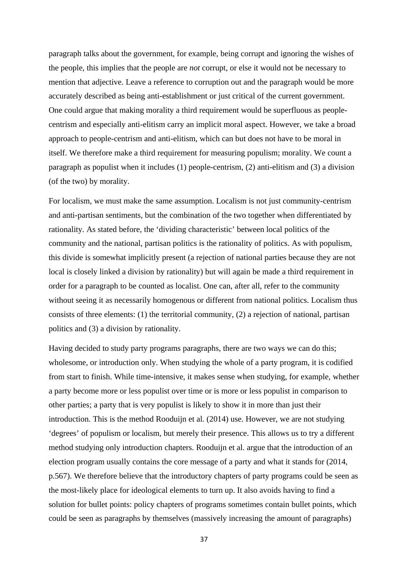paragraph talks about the government, for example, being corrupt and ignoring the wishes of the people, this implies that the people are *not* corrupt, or else it would not be necessary to mention that adjective. Leave a reference to corruption out and the paragraph would be more accurately described as being anti-establishment or just critical of the current government. One could argue that making morality a third requirement would be superfluous as peoplecentrism and especially anti-elitism carry an implicit moral aspect. However, we take a broad approach to people-centrism and anti-elitism, which can but does not have to be moral in itself. We therefore make a third requirement for measuring populism; morality. We count a paragraph as populist when it includes (1) people-centrism, (2) anti-elitism and (3) a division (of the two) by morality.

For localism, we must make the same assumption. Localism is not just community-centrism and anti-partisan sentiments, but the combination of the two together when differentiated by rationality. As stated before, the 'dividing characteristic' between local politics of the community and the national, partisan politics is the rationality of politics. As with populism, this divide is somewhat implicitly present (a rejection of national parties because they are not local is closely linked a division by rationality) but will again be made a third requirement in order for a paragraph to be counted as localist. One can, after all, refer to the community without seeing it as necessarily homogenous or different from national politics. Localism thus consists of three elements: (1) the territorial community, (2) a rejection of national, partisan politics and (3) a division by rationality.

Having decided to study party programs paragraphs, there are two ways we can do this; wholesome, or introduction only. When studying the whole of a party program, it is codified from start to finish. While time-intensive, it makes sense when studying, for example, whether a party become more or less populist over time or is more or less populist in comparison to other parties; a party that is very populist is likely to show it in more than just their introduction. This is the method Rooduijn et al. (2014) use. However, we are not studying 'degrees' of populism or localism, but merely their presence. This allows us to try a different method studying only introduction chapters. Rooduijn et al. argue that the introduction of an election program usually contains the core message of a party and what it stands for (2014, p.567). We therefore believe that the introductory chapters of party programs could be seen as the most-likely place for ideological elements to turn up. It also avoids having to find a solution for bullet points: policy chapters of programs sometimes contain bullet points, which could be seen as paragraphs by themselves (massively increasing the amount of paragraphs)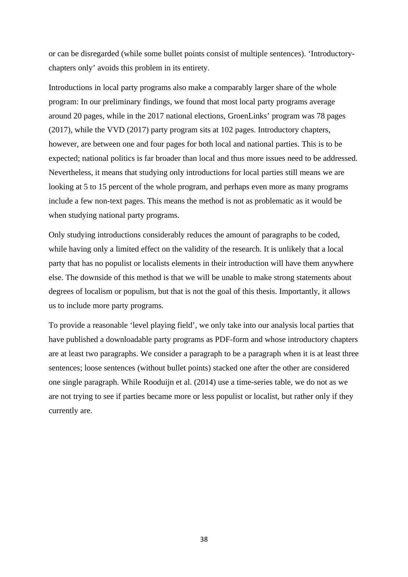or can be disregarded (while some bullet points consist of multiple sentences). 'Introductorychapters only' avoids this problem in its entirety.

Introductions in local party programs also make a comparably larger share of the whole program: In our preliminary findings, we found that most local party programs average around 20 pages, while in the 2017 national elections, GroenLinks' program was 78 pages (2017), while the VVD (2017) party program sits at 102 pages. Introductory chapters, however, are between one and four pages for both local and national parties. This is to be expected; national politics is far broader than local and thus more issues need to be addressed. Nevertheless, it means that studying only introductions for local parties still means we are looking at 5 to 15 percent of the whole program, and perhaps even more as many programs include a few non-text pages. This means the method is not as problematic as it would be when studying national party programs.

Only studying introductions considerably reduces the amount of paragraphs to be coded, while having only a limited effect on the validity of the research. It is unlikely that a local party that has no populist or localists elements in their introduction will have them anywhere else. The downside of this method is that we will be unable to make strong statements about degrees of localism or populism, but that is not the goal of this thesis. Importantly, it allows us to include more party programs.

To provide a reasonable 'level playing field', we only take into our analysis local parties that have published a downloadable party programs as PDF-form and whose introductory chapters are at least two paragraphs. We consider a paragraph to be a paragraph when it is at least three sentences; loose sentences (without bullet points) stacked one after the other are considered one single paragraph. While Rooduijn et al. (2014) use a time-series table, we do not as we are not trying to see if parties became more or less populist or localist, but rather only if they currently are.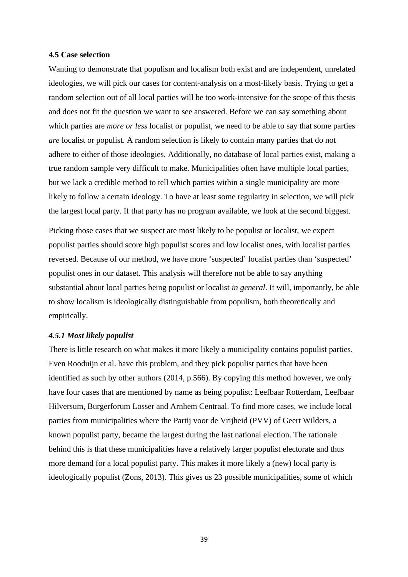## <span id="page-38-0"></span>**4.5 Case selection**

Wanting to demonstrate that populism and localism both exist and are independent, unrelated ideologies, we will pick our cases for content-analysis on a most-likely basis. Trying to get a random selection out of all local parties will be too work-intensive for the scope of this thesis and does not fit the question we want to see answered. Before we can say something about which parties are *more or less* localist or populist, we need to be able to say that some parties *are* localist or populist. A random selection is likely to contain many parties that do not adhere to either of those ideologies. Additionally, no database of local parties exist, making a true random sample very difficult to make. Municipalities often have multiple local parties, but we lack a credible method to tell which parties within a single municipality are more likely to follow a certain ideology. To have at least some regularity in selection, we will pick the largest local party. If that party has no program available, we look at the second biggest.

Picking those cases that we suspect are most likely to be populist or localist, we expect populist parties should score high populist scores and low localist ones, with localist parties reversed. Because of our method, we have more 'suspected' localist parties than 'suspected' populist ones in our dataset. This analysis will therefore not be able to say anything substantial about local parties being populist or localist *in general*. It will, importantly, be able to show localism is ideologically distinguishable from populism, both theoretically and empirically.

## <span id="page-38-1"></span>*4.5.1 Most likely populist*

There is little research on what makes it more likely a municipality contains populist parties. Even Rooduijn et al. have this problem, and they pick populist parties that have been identified as such by other authors (2014, p.566). By copying this method however, we only have four cases that are mentioned by name as being populist: Leefbaar Rotterdam, Leefbaar Hilversum, Burgerforum Losser and Arnhem Centraal. To find more cases, we include local parties from municipalities where the Partij voor de Vrijheid (PVV) of Geert Wilders, a known populist party, became the largest during the last national election. The rationale behind this is that these municipalities have a relatively larger populist electorate and thus more demand for a local populist party. This makes it more likely a (new) local party is ideologically populist (Zons, 2013). This gives us 23 possible municipalities, some of which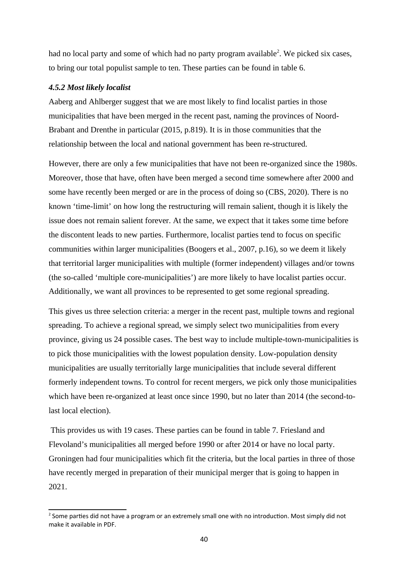had no local party and some of which had no party program available<sup>[2](#page-39-1)</sup>. We picked six cases, to bring our total populist sample to ten. These parties can be found in table 6.

## <span id="page-39-0"></span>*4.5.2 Most likely localist*

Aaberg and Ahlberger suggest that we are most likely to find localist parties in those municipalities that have been merged in the recent past, naming the provinces of Noord-Brabant and Drenthe in particular (2015, p.819). It is in those communities that the relationship between the local and national government has been re-structured.

However, there are only a few municipalities that have not been re-organized since the 1980s. Moreover, those that have, often have been merged a second time somewhere after 2000 and some have recently been merged or are in the process of doing so (CBS, 2020). There is no known 'time-limit' on how long the restructuring will remain salient, though it is likely the issue does not remain salient forever. At the same, we expect that it takes some time before the discontent leads to new parties. Furthermore, localist parties tend to focus on specific communities within larger municipalities (Boogers et al., 2007, p.16), so we deem it likely that territorial larger municipalities with multiple (former independent) villages and/or towns (the so-called 'multiple core-municipalities') are more likely to have localist parties occur. Additionally, we want all provinces to be represented to get some regional spreading.

This gives us three selection criteria: a merger in the recent past, multiple towns and regional spreading. To achieve a regional spread, we simply select two municipalities from every province, giving us 24 possible cases. The best way to include multiple-town-municipalities is to pick those municipalities with the lowest population density. Low-population density municipalities are usually territorially large municipalities that include several different formerly independent towns. To control for recent mergers, we pick only those municipalities which have been re-organized at least once since 1990, but no later than 2014 (the second-tolast local election).

 This provides us with 19 cases. These parties can be found in table 7. Friesland and Flevoland's municipalities all merged before 1990 or after 2014 or have no local party. Groningen had four municipalities which fit the criteria, but the local parties in three of those have recently merged in preparation of their municipal merger that is going to happen in 2021.

<span id="page-39-1"></span> $2$  Some parties did not have a program or an extremely small one with no introduction. Most simply did not make it available in PDF.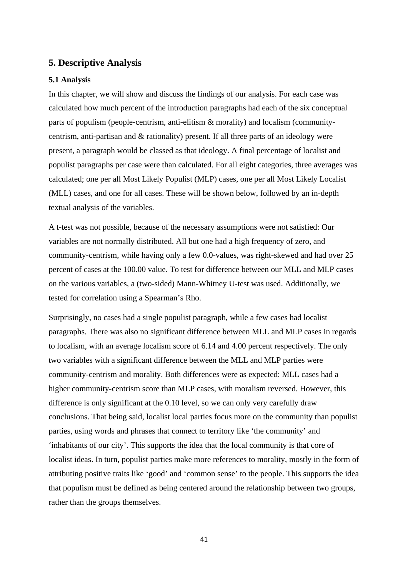## <span id="page-40-0"></span>**5. Descriptive Analysis**

## <span id="page-40-1"></span>**5.1 Analysis**

In this chapter, we will show and discuss the findings of our analysis. For each case was calculated how much percent of the introduction paragraphs had each of the six conceptual parts of populism (people-centrism, anti-elitism & morality) and localism (communitycentrism, anti-partisan and & rationality) present. If all three parts of an ideology were present, a paragraph would be classed as that ideology. A final percentage of localist and populist paragraphs per case were than calculated. For all eight categories, three averages was calculated; one per all Most Likely Populist (MLP) cases, one per all Most Likely Localist (MLL) cases, and one for all cases. These will be shown below, followed by an in-depth textual analysis of the variables.

A t-test was not possible, because of the necessary assumptions were not satisfied: Our variables are not normally distributed. All but one had a high frequency of zero, and community-centrism, while having only a few 0.0-values, was right-skewed and had over 25 percent of cases at the 100.00 value. To test for difference between our MLL and MLP cases on the various variables, a (two-sided) Mann-Whitney U-test was used. Additionally, we tested for correlation using a Spearman's Rho.

Surprisingly, no cases had a single populist paragraph, while a few cases had localist paragraphs. There was also no significant difference between MLL and MLP cases in regards to localism, with an average localism score of 6.14 and 4.00 percent respectively. The only two variables with a significant difference between the MLL and MLP parties were community-centrism and morality. Both differences were as expected: MLL cases had a higher community-centrism score than MLP cases, with moralism reversed. However, this difference is only significant at the 0.10 level, so we can only very carefully draw conclusions. That being said, localist local parties focus more on the community than populist parties, using words and phrases that connect to territory like 'the community' and 'inhabitants of our city'. This supports the idea that the local community is that core of localist ideas. In turn, populist parties make more references to morality, mostly in the form of attributing positive traits like 'good' and 'common sense' to the people. This supports the idea that populism must be defined as being centered around the relationship between two groups, rather than the groups themselves.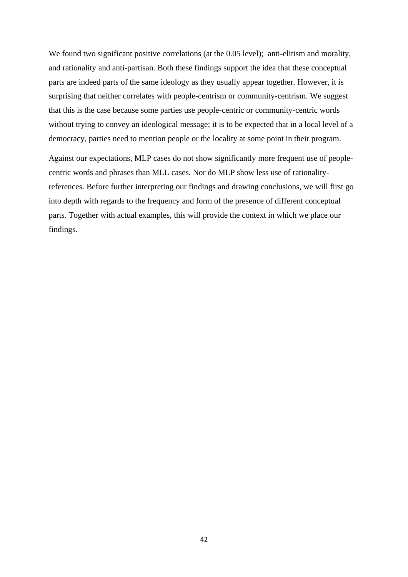We found two significant positive correlations (at the 0.05 level); anti-elitism and morality, and rationality and anti-partisan. Both these findings support the idea that these conceptual parts are indeed parts of the same ideology as they usually appear together. However, it is surprising that neither correlates with people-centrism or community-centrism. We suggest that this is the case because some parties use people-centric or community-centric words without trying to convey an ideological message; it is to be expected that in a local level of a democracy, parties need to mention people or the locality at some point in their program.

Against our expectations, MLP cases do not show significantly more frequent use of peoplecentric words and phrases than MLL cases. Nor do MLP show less use of rationalityreferences. Before further interpreting our findings and drawing conclusions, we will first go into depth with regards to the frequency and form of the presence of different conceptual parts. Together with actual examples, this will provide the context in which we place our findings.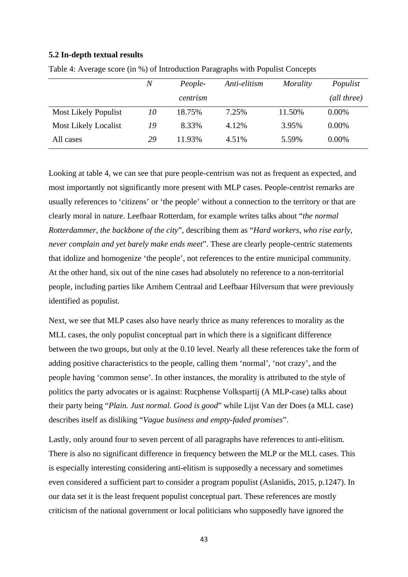## <span id="page-42-0"></span>**5.2 In-depth textual results**

|                             | N  | People-  | Anti-elitism | Morality | Populist    |
|-----------------------------|----|----------|--------------|----------|-------------|
|                             |    | centrism |              |          | (all three) |
| <b>Most Likely Populist</b> | 10 | 18.75%   | 7.25%        | 11.50%   | $0.00\%$    |
| <b>Most Likely Localist</b> | 19 | 8.33%    | 4.12%        | 3.95%    | $0.00\%$    |
| All cases                   | 29 | 11.93%   | 4.51%        | 5.59%    | 0.00%       |

Table 4: Average score (in %) of Introduction Paragraphs with Populist Concepts

Looking at table 4, we can see that pure people-centrism was not as frequent as expected, and most importantly not significantly more present with MLP cases. People-centrist remarks are usually references to 'citizens' or 'the people' without a connection to the territory or that are clearly moral in nature. Leefbaar Rotterdam, for example writes talks about "*the normal Rotterdammer, the backbone of the city*", describing them as "*Hard workers, who rise early, never complain and yet barely make ends meet*". These are clearly people-centric statements that idolize and homogenize 'the people', not references to the entire municipal community. At the other hand, six out of the nine cases had absolutely no reference to a non-territorial people, including parties like Arnhem Centraal and Leefbaar Hilversum that were previously identified as populist.

Next, we see that MLP cases also have nearly thrice as many references to morality as the MLL cases, the only populist conceptual part in which there is a significant difference between the two groups, but only at the 0.10 level. Nearly all these references take the form of adding positive characteristics to the people, calling them 'normal', 'not crazy', and the people having 'common sense'. In other instances, the morality is attributed to the style of politics the party advocates or is against: Rucphense Volkspartij (A MLP-case) talks about their party being "*Plain. Just normal. Good is good*" while Lijst Van der Does (a MLL case) describes itself as disliking "*Vague business and empty-faded promises*".

Lastly, only around four to seven percent of all paragraphs have references to anti-elitism. There is also no significant difference in frequency between the MLP or the MLL cases. This is especially interesting considering anti-elitism is supposedly a necessary and sometimes even considered a sufficient part to consider a program populist (Aslanidis, 2015, p.1247). In our data set it is the least frequent populist conceptual part. These references are mostly criticism of the national government or local politicians who supposedly have ignored the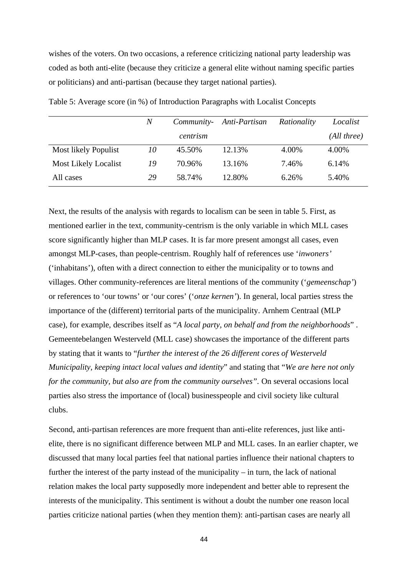wishes of the voters. On two occasions, a reference criticizing national party leadership was coded as both anti-elite (because they criticize a general elite without naming specific parties or politicians) and anti-partisan (because they target national parties).

|                             | N  | Community- | Anti-Partisan | Rationality | Localist    |
|-----------------------------|----|------------|---------------|-------------|-------------|
|                             |    | centrism   |               |             | (All three) |
| Most likely Populist        | 10 | 45.50%     | 12.13%        | 4.00%       | 4.00%       |
| <b>Most Likely Localist</b> | 19 | 70.96%     | 13.16%        | 7.46%       | 6.14%       |
| All cases                   | 29 | 58.74%     | 12.80%        | 6.26%       | 5.40%       |
|                             |    |            |               |             |             |

Table 5: Average score (in %) of Introduction Paragraphs with Localist Concepts

Next, the results of the analysis with regards to localism can be seen in table 5. First, as mentioned earlier in the text, community-centrism is the only variable in which MLL cases score significantly higher than MLP cases. It is far more present amongst all cases, even amongst MLP-cases, than people-centrism. Roughly half of references use '*inwoners'*  ('inhabitans'), often with a direct connection to either the municipality or to towns and villages. Other community-references are literal mentions of the community ('*gemeenschap'*) or references to 'our towns' or 'our cores' ('*onze kernen'*). In general, local parties stress the importance of the (different) territorial parts of the municipality. Arnhem Centraal (MLP case), for example, describes itself as "*A local party, on behalf and from the neighborhoods*" . Gemeentebelangen Westerveld (MLL case) showcases the importance of the different parts by stating that it wants to "*further the interest of the 26 different cores of Westerveld Municipality, keeping intact local values and identity*" and stating that "*We are here not only for the community, but also are from the community ourselves".* On several occasions local parties also stress the importance of (local) businesspeople and civil society like cultural clubs.

Second, anti-partisan references are more frequent than anti-elite references, just like antielite, there is no significant difference between MLP and MLL cases. In an earlier chapter, we discussed that many local parties feel that national parties influence their national chapters to further the interest of the party instead of the municipality – in turn, the lack of national relation makes the local party supposedly more independent and better able to represent the interests of the municipality. This sentiment is without a doubt the number one reason local parties criticize national parties (when they mention them): anti-partisan cases are nearly all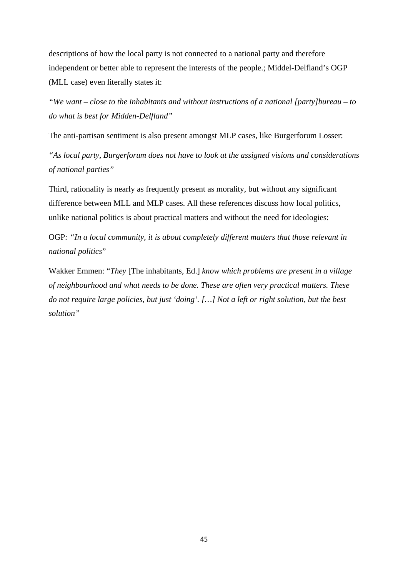descriptions of how the local party is not connected to a national party and therefore independent or better able to represent the interests of the people.; Middel-Delfland's OGP (MLL case) even literally states it:

*"We want – close to the inhabitants and without instructions of a national [party]bureau – to do what is best for Midden-Delfland"*

The anti-partisan sentiment is also present amongst MLP cases, like Burgerforum Losser:

*"As local party, Burgerforum does not have to look at the assigned visions and considerations of national parties"*

Third, rationality is nearly as frequently present as morality, but without any significant difference between MLL and MLP cases. All these references discuss how local politics, unlike national politics is about practical matters and without the need for ideologies:

OGP*: "In a local community, it is about completely different matters that those relevant in national politics*"

Wakker Emmen: "*They* [The inhabitants, Ed.] *know which problems are present in a village of neighbourhood and what needs to be done. These are often very practical matters. These do not require large policies, but just 'doing'. […] Not a left or right solution, but the best solution"*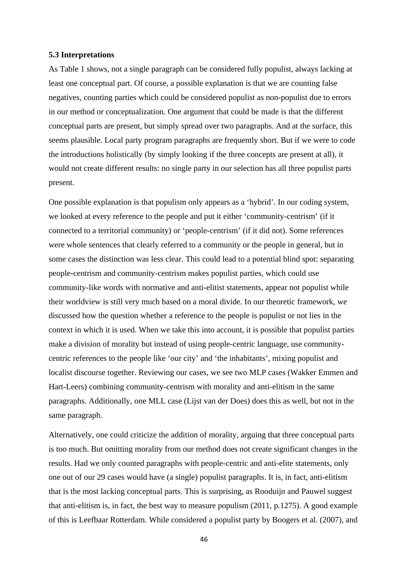#### <span id="page-45-0"></span>**5.3 Interpretations**

As Table 1 shows, not a single paragraph can be considered fully populist, always lacking at least one conceptual part. Of course, a possible explanation is that we are counting false negatives, counting parties which could be considered populist as non-populist due to errors in our method or conceptualization. One argument that could be made is that the different conceptual parts are present, but simply spread over two paragraphs. And at the surface, this seems plausible. Local party program paragraphs are frequently short. But if we were to code the introductions holistically (by simply looking if the three concepts are present at all), it would not create different results: no single party in our selection has all three populist parts present.

One possible explanation is that populism only appears as a 'hybrid'. In our coding system, we looked at every reference to the people and put it either 'community-centrism' (if it connected to a territorial community) or 'people-centrism' (if it did not). Some references were whole sentences that clearly referred to a community or the people in general, but in some cases the distinction was less clear. This could lead to a potential blind spot: separating people-centrism and community-centrism makes populist parties, which could use community-like words with normative and anti-elitist statements, appear not populist while their worldview is still very much based on a moral divide. In our theoretic framework, we discussed how the question whether a reference to the people is populist or not lies in the context in which it is used. When we take this into account, it is possible that populist parties make a division of morality but instead of using people-centric language, use communitycentric references to the people like 'our city' and 'the inhabitants', mixing populist and localist discourse together. Reviewing our cases, we see two MLP cases (Wakker Emmen and Hart-Leers) combining community-centrism with morality and anti-elitism in the same paragraphs. Additionally, one MLL case (Lijst van der Does) does this as well, but not in the same paragraph.

Alternatively, one could criticize the addition of morality, arguing that three conceptual parts is too much. But omitting morality from our method does not create significant changes in the results. Had we only counted paragraphs with people-centric and anti-elite statements, only one out of our 29 cases would have (a single) populist paragraphs. It is, in fact, anti-elitism that is the most lacking conceptual parts. This is surprising, as Rooduijn and Pauwel suggest that anti-elitism is, in fact, the best way to measure populism (2011, p.1275). A good example of this is Leefbaar Rotterdam. While considered a populist party by Boogers et al. (2007), and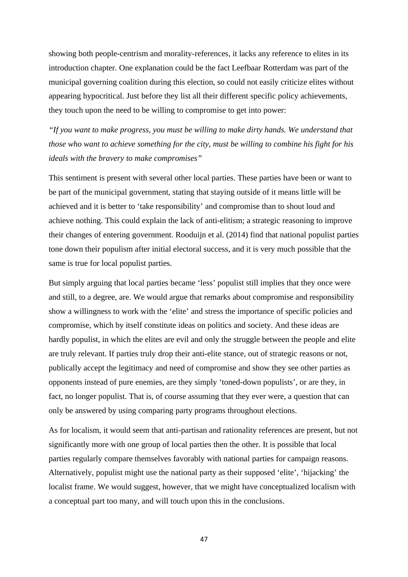showing both people-centrism and morality-references, it lacks any reference to elites in its introduction chapter. One explanation could be the fact Leefbaar Rotterdam was part of the municipal governing coalition during this election, so could not easily criticize elites without appearing hypocritical. Just before they list all their different specific policy achievements, they touch upon the need to be willing to compromise to get into power:

*"If you want to make progress, you must be willing to make dirty hands. We understand that those who want to achieve something for the city, must be willing to combine his fight for his ideals with the bravery to make compromises"*

This sentiment is present with several other local parties. These parties have been or want to be part of the municipal government, stating that staying outside of it means little will be achieved and it is better to 'take responsibility' and compromise than to shout loud and achieve nothing. This could explain the lack of anti-elitism; a strategic reasoning to improve their changes of entering government. Rooduijn et al. (2014) find that national populist parties tone down their populism after initial electoral success, and it is very much possible that the same is true for local populist parties.

But simply arguing that local parties became 'less' populist still implies that they once were and still, to a degree, are. We would argue that remarks about compromise and responsibility show a willingness to work with the 'elite' and stress the importance of specific policies and compromise, which by itself constitute ideas on politics and society. And these ideas are hardly populist, in which the elites are evil and only the struggle between the people and elite are truly relevant. If parties truly drop their anti-elite stance, out of strategic reasons or not, publically accept the legitimacy and need of compromise and show they see other parties as opponents instead of pure enemies, are they simply 'toned-down populists', or are they, in fact, no longer populist. That is, of course assuming that they ever were, a question that can only be answered by using comparing party programs throughout elections.

As for localism, it would seem that anti-partisan and rationality references are present, but not significantly more with one group of local parties then the other. It is possible that local parties regularly compare themselves favorably with national parties for campaign reasons. Alternatively, populist might use the national party as their supposed 'elite', 'hijacking' the localist frame. We would suggest, however, that we might have conceptualized localism with a conceptual part too many, and will touch upon this in the conclusions.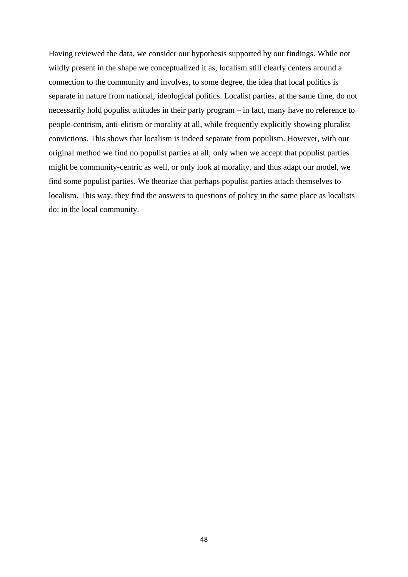Having reviewed the data, we consider our hypothesis supported by our findings. While not wildly present in the shape we conceptualized it as, localism still clearly centers around a connection to the community and involves, to some degree, the idea that local politics is separate in nature from national, ideological politics. Localist parties, at the same time, do not necessarily hold populist attitudes in their party program – in fact, many have no reference to people-centrism, anti-elitism or morality at all, while frequently explicitly showing pluralist convictions. This shows that localism is indeed separate from populism. However, with our original method we find no populist parties at all; only when we accept that populist parties might be community-centric as well, or only look at morality, and thus adapt our model, we find some populist parties. We theorize that perhaps populist parties attach themselves to localism. This way, they find the answers to questions of policy in the same place as localists do: in the local community.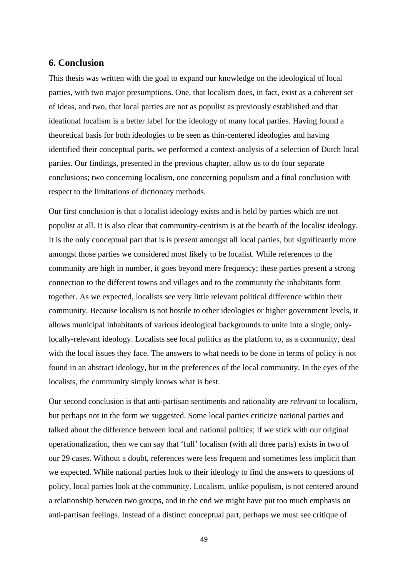## <span id="page-48-0"></span>**6. Conclusion**

This thesis was written with the goal to expand our knowledge on the ideological of local parties, with two major presumptions. One, that localism does, in fact, exist as a coherent set of ideas, and two, that local parties are not as populist as previously established and that ideational localism is a better label for the ideology of many local parties. Having found a theoretical basis for both ideologies to be seen as thin-centered ideologies and having identified their conceptual parts, we performed a context-analysis of a selection of Dutch local parties. Our findings, presented in the previous chapter, allow us to do four separate conclusions; two concerning localism, one concerning populism and a final conclusion with respect to the limitations of dictionary methods.

Our first conclusion is that a localist ideology exists and is held by parties which are not populist at all. It is also clear that community-centrism is at the hearth of the localist ideology. It is the only conceptual part that is is present amongst all local parties, but significantly more amongst those parties we considered most likely to be localist. While references to the community are high in number, it goes beyond mere frequency; these parties present a strong connection to the different towns and villages and to the community the inhabitants form together. As we expected, localists see very little relevant political difference within their community. Because localism is not hostile to other ideologies or higher government levels, it allows municipal inhabitants of various ideological backgrounds to unite into a single, onlylocally-relevant ideology. Localists see local politics as the platform to, as a community, deal with the local issues they face. The answers to what needs to be done in terms of policy is not found in an abstract ideology, but in the preferences of the local community. In the eyes of the localists, the community simply knows what is best.

Our second conclusion is that anti-partisan sentiments and rationality are *relevant* to localism, but perhaps not in the form we suggested. Some local parties criticize national parties and talked about the difference between local and national politics; if we stick with our original operationalization, then we can say that 'full' localism (with all three parts) exists in two of our 29 cases. Without a doubt, references were less frequent and sometimes less implicit than we expected. While national parties look to their ideology to find the answers to questions of policy, local parties look at the community. Localism, unlike populism, is not centered around a relationship between two groups, and in the end we might have put too much emphasis on anti-partisan feelings. Instead of a distinct conceptual part, perhaps we must see critique of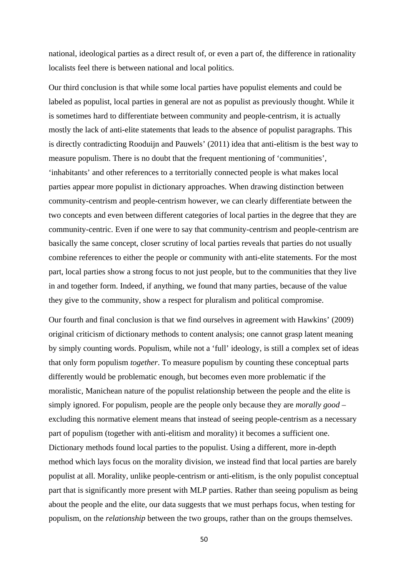national, ideological parties as a direct result of, or even a part of, the difference in rationality localists feel there is between national and local politics.

Our third conclusion is that while some local parties have populist elements and could be labeled as populist, local parties in general are not as populist as previously thought. While it is sometimes hard to differentiate between community and people-centrism, it is actually mostly the lack of anti-elite statements that leads to the absence of populist paragraphs. This is directly contradicting Rooduijn and Pauwels' (2011) idea that anti-elitism is the best way to measure populism. There is no doubt that the frequent mentioning of 'communities', 'inhabitants' and other references to a territorially connected people is what makes local parties appear more populist in dictionary approaches. When drawing distinction between community-centrism and people-centrism however, we can clearly differentiate between the two concepts and even between different categories of local parties in the degree that they are community-centric. Even if one were to say that community-centrism and people-centrism are basically the same concept, closer scrutiny of local parties reveals that parties do not usually combine references to either the people or community with anti-elite statements. For the most part, local parties show a strong focus to not just people, but to the communities that they live in and together form. Indeed, if anything, we found that many parties, because of the value they give to the community, show a respect for pluralism and political compromise.

Our fourth and final conclusion is that we find ourselves in agreement with Hawkins' (2009) original criticism of dictionary methods to content analysis; one cannot grasp latent meaning by simply counting words. Populism, while not a 'full' ideology, is still a complex set of ideas that only form populism *together*. To measure populism by counting these conceptual parts differently would be problematic enough, but becomes even more problematic if the moralistic, Manichean nature of the populist relationship between the people and the elite is simply ignored. For populism, people are the people only because they are *morally good* – excluding this normative element means that instead of seeing people-centrism as a necessary part of populism (together with anti-elitism and morality) it becomes a sufficient one. Dictionary methods found local parties to the populist. Using a different, more in-depth method which lays focus on the morality division, we instead find that local parties are barely populist at all. Morality, unlike people-centrism or anti-elitism, is the only populist conceptual part that is significantly more present with MLP parties. Rather than seeing populism as being about the people and the elite, our data suggests that we must perhaps focus, when testing for populism, on the *relationship* between the two groups, rather than on the groups themselves.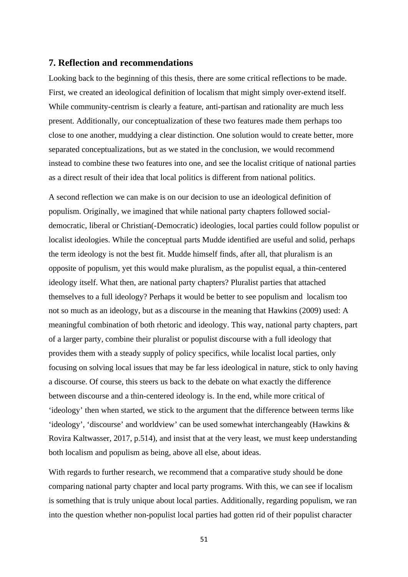## <span id="page-50-0"></span>**7. Reflection and recommendations**

Looking back to the beginning of this thesis, there are some critical reflections to be made. First, we created an ideological definition of localism that might simply over-extend itself. While community-centrism is clearly a feature, anti-partisan and rationality are much less present. Additionally, our conceptualization of these two features made them perhaps too close to one another, muddying a clear distinction. One solution would to create better, more separated conceptualizations, but as we stated in the conclusion, we would recommend instead to combine these two features into one, and see the localist critique of national parties as a direct result of their idea that local politics is different from national politics.

A second reflection we can make is on our decision to use an ideological definition of populism. Originally, we imagined that while national party chapters followed socialdemocratic, liberal or Christian(-Democratic) ideologies, local parties could follow populist or localist ideologies. While the conceptual parts Mudde identified are useful and solid, perhaps the term ideology is not the best fit. Mudde himself finds, after all, that pluralism is an opposite of populism, yet this would make pluralism, as the populist equal, a thin-centered ideology itself. What then, are national party chapters? Pluralist parties that attached themselves to a full ideology? Perhaps it would be better to see populism and localism too not so much as an ideology, but as a discourse in the meaning that Hawkins (2009) used: A meaningful combination of both rhetoric and ideology. This way, national party chapters, part of a larger party, combine their pluralist or populist discourse with a full ideology that provides them with a steady supply of policy specifics, while localist local parties, only focusing on solving local issues that may be far less ideological in nature, stick to only having a discourse. Of course, this steers us back to the debate on what exactly the difference between discourse and a thin-centered ideology is. In the end, while more critical of 'ideology' then when started, we stick to the argument that the difference between terms like 'ideology', 'discourse' and worldview' can be used somewhat interchangeably (Hawkins & Rovira Kaltwasser, 2017, p.514), and insist that at the very least, we must keep understanding both localism and populism as being, above all else, about ideas.

With regards to further research, we recommend that a comparative study should be done comparing national party chapter and local party programs. With this, we can see if localism is something that is truly unique about local parties. Additionally, regarding populism, we ran into the question whether non-populist local parties had gotten rid of their populist character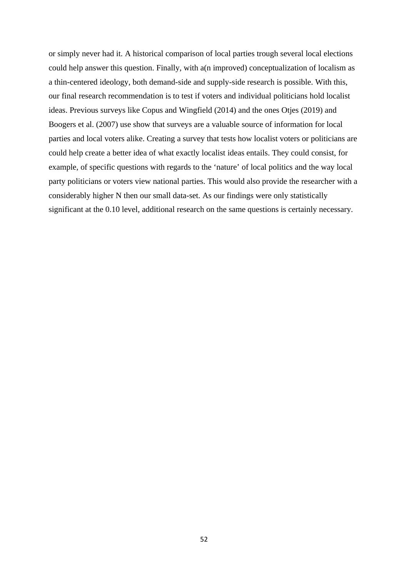or simply never had it. A historical comparison of local parties trough several local elections could help answer this question. Finally, with a(n improved) conceptualization of localism as a thin-centered ideology, both demand-side and supply-side research is possible. With this, our final research recommendation is to test if voters and individual politicians hold localist ideas. Previous surveys like Copus and Wingfield (2014) and the ones Otjes (2019) and Boogers et al. (2007) use show that surveys are a valuable source of information for local parties and local voters alike. Creating a survey that tests how localist voters or politicians are could help create a better idea of what exactly localist ideas entails. They could consist, for example, of specific questions with regards to the 'nature' of local politics and the way local party politicians or voters view national parties. This would also provide the researcher with a considerably higher N then our small data-set. As our findings were only statistically significant at the 0.10 level, additional research on the same questions is certainly necessary.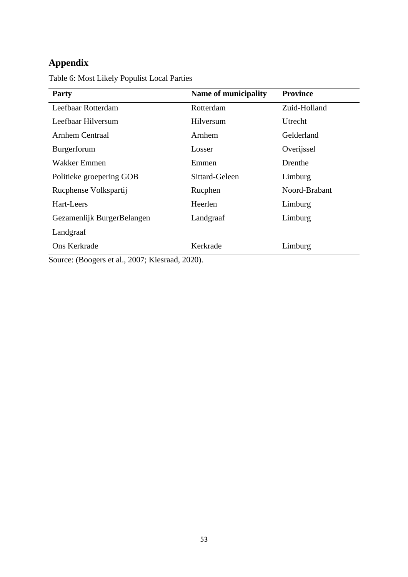# <span id="page-52-0"></span>**Appendix**

Table 6: Most Likely Populist Local Parties

| Party                                       | <b>Name of municipality</b> | <b>Province</b> |
|---------------------------------------------|-----------------------------|-----------------|
| Leefbaar Rotterdam                          | Rotterdam                   | Zuid-Holland    |
| Leefbaar Hilversum                          | Hilversum                   | Utrecht         |
| Arnhem Centraal                             | Arnhem                      | Gelderland      |
| Burgerforum                                 | Losser                      | Overijssel      |
| Wakker Emmen                                | Emmen                       | Drenthe         |
| Politieke groepering GOB                    | Sittard-Geleen              | Limburg         |
| Rucphense Volkspartij                       | Rucphen                     | Noord-Brabant   |
| Hart-Leers                                  | Heerlen                     | Limburg         |
| Gezamenlijk BurgerBelangen                  | Landgraaf                   | Limburg         |
| Landgraaf                                   |                             |                 |
| Ons Kerkrade<br>$\sim$ $\sim$<br>$\sqrt{ }$ | Kerkrade<br>1.0000          | Limburg         |

Source: (Boogers et al., 2007; Kiesraad, 2020).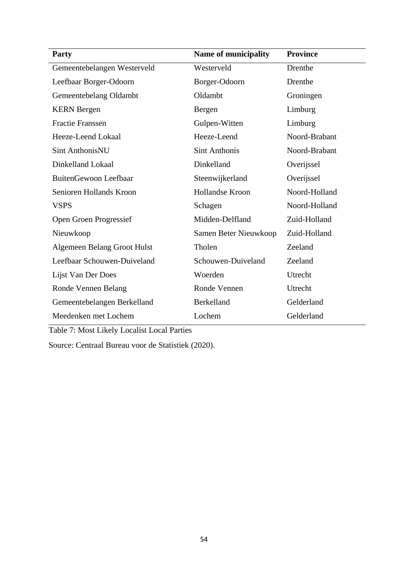| <b>Party</b>                | <b>Name of municipality</b> | <b>Province</b> |
|-----------------------------|-----------------------------|-----------------|
| Gemeentebelangen Westerveld | Westerveld                  | Drenthe         |
| Leefbaar Borger-Odoorn      | Borger-Odoorn               | Drenthe         |
| Gemeentebelang Oldambt      | Oldambt                     | Groningen       |
| <b>KERN</b> Bergen          | Bergen                      | Limburg         |
| Fractie Franssen            | Gulpen-Witten               | Limburg         |
| Heeze-Leend Lokaal          | Heeze-Leend                 | Noord-Brabant   |
| <b>Sint AnthonisNU</b>      | <b>Sint Anthonis</b>        | Noord-Brabant   |
| Dinkelland Lokaal           | Dinkelland                  | Overijssel      |
| BuitenGewoon Leefbaar       | Steenwijkerland             | Overijssel      |
| Senioren Hollands Kroon     | <b>Hollandse Kroon</b>      | Noord-Holland   |
| <b>VSPS</b>                 | Schagen                     | Noord-Holland   |
| Open Groen Progressief      | Midden-Delfland             | Zuid-Holland    |
| Nieuwkoop                   | Samen Beter Nieuwkoop       | Zuid-Holland    |
| Algemeen Belang Groot Hulst | Tholen                      | Zeeland         |
| Leefbaar Schouwen-Duiveland | Schouwen-Duiveland          | Zeeland         |
| Lijst Van Der Does          | Woerden                     | Utrecht         |
| Ronde Vennen Belang         | Ronde Vennen                | Utrecht         |
| Gemeentebelangen Berkelland | <b>Berkelland</b>           | Gelderland      |
| Meedenken met Lochem        | Lochem                      | Gelderland      |

Table 7: Most Likely Localist Local Parties

Source: Centraal Bureau voor de Statistiek (2020).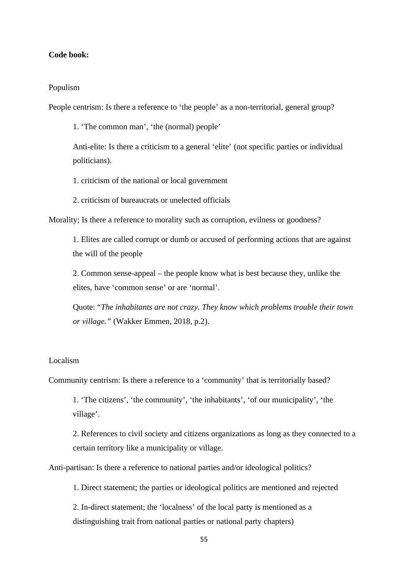## <span id="page-54-0"></span>**Code book:**

#### Populism

People centrism: Is there a reference to 'the people' as a non-territorial, general group?

1. 'The common man', 'the (normal) people'

Anti-elite: Is there a criticism to a general 'elite' (not specific parties or individual politicians).

1. criticism of the national or local government

2. criticism of bureaucrats or unelected officials

Morality; Is there a reference to morality such as corruption, evilness or goodness?

1. Elites are called corrupt or dumb or accused of performing actions that are against the will of the people

2. Common sense-appeal – the people know what is best because they, unlike the elites, have 'common sense' or are 'normal'.

Quote: "*The inhabitants are not crazy*. *They know which problems trouble their town or village."* (Wakker Emmen, 2018, p.2).

#### Localism

Community centrism: Is there a reference to a 'community' that is territorially based?

1. 'The citizens', 'the community', 'the inhabitants', 'of our municipality', 'the village'.

2. References to civil society and citizens organizations as long as they connected to a certain territory like a municipality or village.

Anti-partisan: Is there a reference to national parties and/or ideological politics?

1. Direct statement; the parties or ideological politics are mentioned and rejected

2. In-direct statement; the 'localness' of the local party is mentioned as a distinguishing trait from national parties or national party chapters)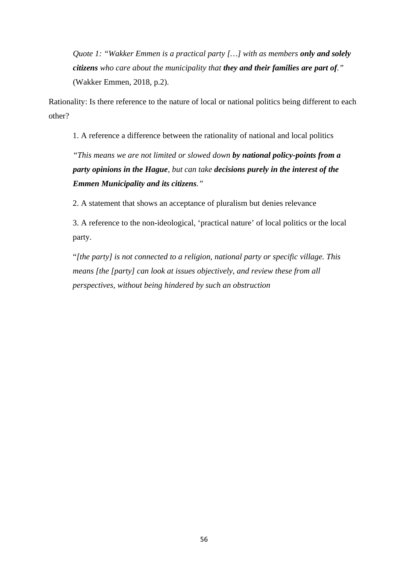*Quote 1: "Wakker Emmen is a practical party […] with as members only and solely citizens who care about the municipality that they and their families are part of."*  (Wakker Emmen, 2018, p.2).

Rationality: Is there reference to the nature of local or national politics being different to each other?

1. A reference a difference between the rationality of national and local politics

*"This means we are not limited or slowed down by national policy-points from a party opinions in the Hague, but can take decisions purely in the interest of the Emmen Municipality and its citizens."*

2. A statement that shows an acceptance of pluralism but denies relevance

3. A reference to the non-ideological, 'practical nature' of local politics or the local party.

"*[the party] is not connected to a religion, national party or specific village. This means [the [party] can look at issues objectively, and review these from all perspectives, without being hindered by such an obstruction*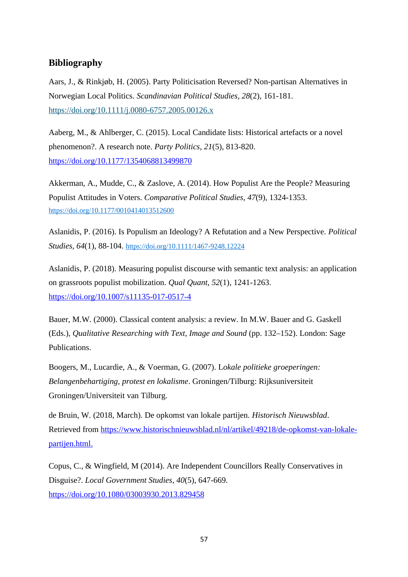## <span id="page-56-0"></span>**Bibliography**

Aars, J., & Rinkjøb, H. (2005). Party Politicisation Reversed? Non-partisan Alternatives in Norwegian Local Politics. *Scandinavian Political Studies, 28*(2), 161-181. <https://doi.org/10.1111/j.0080-6757.2005.00126.x>

Aaberg, M., & Ahlberger, C. (2015). Local Candidate lists: Historical artefacts or a novel phenomenon?. A research note. *Party Politics, 21*(5), 813-820. <https://doi.org/10.1177/1354068813499870>

Akkerman, A., Mudde, C., & Zaslove, A. (2014). How Populist Are the People? Measuring Populist Attitudes in Voters. *Comparative Political Studies, 47*(9), 1324-1353. [https://doi.org/10.1177/0010414013512600](https://doi.org/10.1177%2F0010414013512600)

Aslanidis, P. (2016). Is Populism an Ideology? A Refutation and a New Perspective. *Political Studies, 64*(1), 88-104. [https://doi.org/10.1111/1467-9248.12224](https://doi.org/10.1111%2F1467-9248.12224)

Aslanidis, P. (2018). Measuring populist discourse with semantic text analysis: an application on grassroots populist mobilization. *Qual Quant, 52*(1), 1241-1263. <https://doi.org/10.1007/s11135-017-0517-4>

Bauer, M.W. (2000). Classical content analysis: a review. In M.W. Bauer and G. Gaskell (Eds.), *Qualitative Researching with Text, Image and Sound* (pp. 132–152). London: Sage Publications.

Boogers, M., Lucardie, A., & Voerman, G. (2007). L*okale politieke groeperingen: Belangenbehartiging, protest en lokalisme*. Groningen/Tilburg: Rijksuniversiteit Groningen/Universiteit van Tilburg.

de Bruin, W. (2018, March). De opkomst van lokale partijen. *Historisch Nieuwsblad*. Retrieved from [https://www.historischnieuwsblad.nl/nl/artikel/49218/de-opkomst-van-lokale](https://www.historischnieuwsblad.nl/nl/artikel/49218/de-opkomst-van-lokale-partijen.html)  [partijen.html.](https://www.historischnieuwsblad.nl/nl/artikel/49218/de-opkomst-van-lokale-partijen.html)

Copus, C., & Wingfield, M (2014). Are Independent Councillors Really Conservatives in Disguise?. *Local Government Studies*, *40*(5), 647-669. <https://doi.org/10.1080/03003930.2013.829458>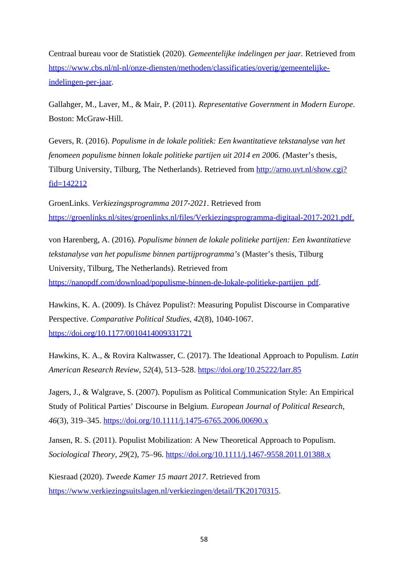Centraal bureau voor de Statistiek (2020). *Gemeentelijke indelingen per jaar.* Retrieved from [https://www.cbs.nl/nl-nl/onze-diensten/methoden/classificaties/overig/gemeentelijke](https://www.cbs.nl/nl-nl/onze-diensten/methoden/classificaties/overig/gemeentelijke-indelingen-per-jaar)[indelingen-per-jaar.](https://www.cbs.nl/nl-nl/onze-diensten/methoden/classificaties/overig/gemeentelijke-indelingen-per-jaar)

Gallahger, M., Laver, M., & Mair, P. (2011). *Representative Government in Modern Europe*. Boston: McGraw-Hill.

Gevers, R. (2016). *Populisme in de lokale politiek: Een kwantitatieve tekstanalyse van het fenomeen populisme binnen lokale politieke partijen uit 2014 en 2006. (*Master's thesis, Tilburg University, Tilburg, The Netherlands). Retrieved from [http://arno.uvt.nl/show.cgi?](http://arno.uvt.nl/show.cgi?fid=142212) [fid=142212](http://arno.uvt.nl/show.cgi?fid=142212)

GroenLinks. *Verkiezingsprogramma 2017-2021*. Retrieved from  [https://groenlinks.nl/sites/groenlinks.nl/files/Verkiezingsprogramma-digitaal-2017-2021.pdf.](https://groenlinks.nl/sites/groenlinks.nl/files/Verkiezingsprogramma-digitaal-2017-2021.pdf)

von Harenberg, A. (2016). *Populisme binnen de lokale politieke partijen: Een kwantitatieve tekstanalyse van het populisme binnen partijprogramma's* (Master's thesis, Tilburg University, Tilburg, The Netherlands). Retrieved from

[https://nanopdf.com/download/populisme-binnen-de-lokale-politieke-partijen\\_pdf](https://nanopdf.com/download/populisme-binnen-de-lokale-politieke-partijen_pdf).

Hawkins, K. A. (2009). Is Chávez Populist?: Measuring Populist Discourse in Comparative Perspective. *Comparative Political Studies, 42*(8), 1040-1067. <https://doi.org/10.1177/0010414009331721>

Hawkins, K. A., & Rovira Kaltwasser, C. (2017). The Ideational Approach to Populism. *Latin American Research Review, 52*(4), 513–528. <https://doi.org/10.25222/larr.85>

Jagers, J., & Walgrave, S. (2007). Populism as Political Communication Style: An Empirical Study of Political Parties' Discourse in Belgium. *European Journal of Political Research*, *46*(3), 319–345. <https://doi.org/10.1111/j.1475-6765.2006.00690.x>

Jansen, R. S. (2011). Populist Mobilization: A New Theoretical Approach to Populism. *Sociological Theory*, *29*(2), 75–96. <https://doi.org/10.1111/j.1467-9558.2011.01388.x>

Kiesraad (2020). *Tweede Kamer 15 maart 2017*. Retrieved from [https://www.verkiezingsuitslagen.nl/verkiezingen/detail/TK20170315.](https://www.verkiezingsuitslagen.nl/verkiezingen/detail/TK20170315)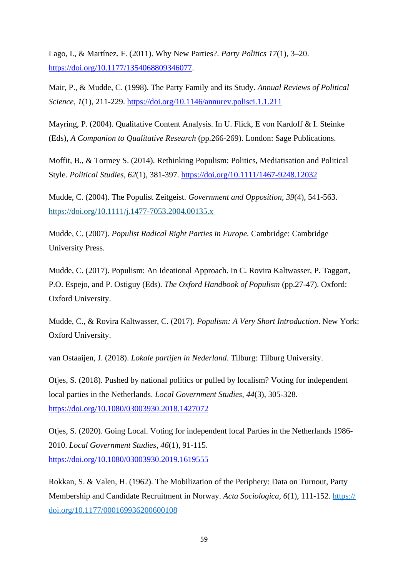Lago, I., & Martínez. F. (2011). Why New Parties?. *Party Politics 17*(1), 3–20. <https://doi.org/10.1177/1354068809346077>.

Mair, P., & Mudde, C. (1998). The Party Family and its Study. *Annual Reviews of Political Science, 1*(1), 211-229.<https://doi.org/10.1146/annurev.polisci.1.1.211>

Mayring, P. (2004). Qualitative Content Analysis. In U. Flick, E von Kardoff & I. Steinke (Eds), *A Companion to Qualitative Research* (pp.266-269). London: Sage Publications.

Moffit, B., & Tormey S. (2014). Rethinking Populism: Politics, Mediatisation and Political Style. *Political Studies, 62*(1), 381-397.<https://doi.org/10.1111/1467-9248.12032>

Mudde, C. (2004). The Populist Zeitgeist. *Government and Opposition, 39*(4), 541-563. <https://doi.org/10.1111/j.1477-7053.2004.00135.x>

Mudde, C. (2007). *Populist Radical Right Parties in Europe.* Cambridge: Cambridge University Press.

Mudde, C. (2017). Populism: An Ideational Approach. In C. Rovira Kaltwasser, P. Taggart, P.O. Espejo, and P. Ostiguy (Eds). *The Oxford Handbook of Populism* (pp.27-47). Oxford: Oxford University.

Mudde, C., & Rovira Kaltwasser, C. (2017). *Populism: A Very Short Introduction*. New York: Oxford University.

van Ostaaijen, J. (2018). *Lokale partijen in Nederland*. Tilburg: Tilburg University.

Otjes, S. (2018). Pushed by national politics or pulled by localism? Voting for independent local parties in the Netherlands. *Local Government Studies, 44*(3), 305-328. <https://doi.org/10.1080/03003930.2018.1427072>

Otjes, S. (2020). Going Local. Voting for independent local Parties in the Netherlands 1986- 2010. *Local Government Studies*, *46*(1), 91-115. <https://doi.org/10.1080/03003930.2019.1619555>

Rokkan, S. & Valen, H. (1962). The Mobilization of the Periphery: Data on Turnout, Party Membership and Candidate Recruitment in Norway. *Acta Sociologica*, 6(1), 111-152. [https://](https://doi.org/10.1177%2F000169936200600108) [doi.org/10.1177/000169936200600108](https://doi.org/10.1177%2F000169936200600108)